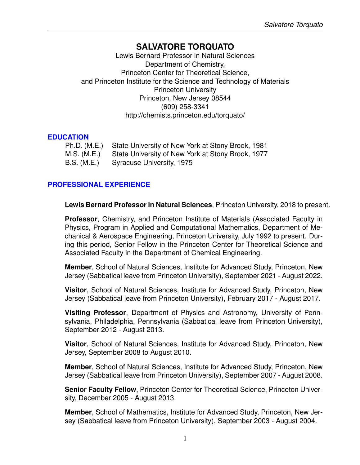# **SALVATORE TORQUATO**

Lewis Bernard Professor in Natural Sciences Department of Chemistry, Princeton Center for Theoretical Science, and Princeton Institute for the Science and Technology of Materials Princeton University Princeton, New Jersey 08544 (609) 258-3341 http://chemists.princeton.edu/torquato/

## **EDUCATION**

| Ph.D. (M.E.) State University of New York at Stony Brook, 1981 |
|----------------------------------------------------------------|
| M.S. (M.E.) State University of New York at Stony Brook, 1977  |
| B.S. (M.E.) Syracuse University, 1975                          |

# **PROFESSIONAL EXPERIENCE**

**Lewis Bernard Professor in Natural Sciences**, Princeton University, 2018 to present.

**Professor**, Chemistry, and Princeton Institute of Materials (Associated Faculty in Physics, Program in Applied and Computational Mathematics, Department of Mechanical & Aerospace Engineering, Princeton University, July 1992 to present. During this period, Senior Fellow in the Princeton Center for Theoretical Science and Associated Faculty in the Department of Chemical Engineering.

**Member**, School of Natural Sciences, Institute for Advanced Study, Princeton, New Jersey (Sabbatical leave from Princeton University), September 2021 - August 2022.

**Visitor**, School of Natural Sciences, Institute for Advanced Study, Princeton, New Jersey (Sabbatical leave from Princeton University), February 2017 - August 2017.

**Visiting Professor**, Department of Physics and Astronomy, University of Pennsylvania, Philadelphia, Pennsylvania (Sabbatical leave from Princeton University), September 2012 - August 2013.

**Visitor**, School of Natural Sciences, Institute for Advanced Study, Princeton, New Jersey, September 2008 to August 2010.

**Member**, School of Natural Sciences, Institute for Advanced Study, Princeton, New Jersey (Sabbatical leave from Princeton University), September 2007 - August 2008.

**Senior Faculty Fellow**, Princeton Center for Theoretical Science, Princeton University, December 2005 - August 2013.

**Member**, School of Mathematics, Institute for Advanced Study, Princeton, New Jersey (Sabbatical leave from Princeton University), September 2003 - August 2004.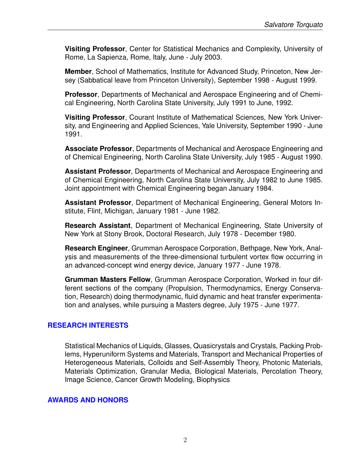**Visiting Professor**, Center for Statistical Mechanics and Complexity, University of Rome, La Sapienza, Rome, Italy, June - July 2003.

**Member**, School of Mathematics, Institute for Advanced Study, Princeton, New Jersey (Sabbatical leave from Princeton University), September 1998 - August 1999.

**Professor**, Departments of Mechanical and Aerospace Engineering and of Chemical Engineering, North Carolina State University, July 1991 to June, 1992.

**Visiting Professor**, Courant Institute of Mathematical Sciences, New York University, and Engineering and Applied Sciences, Yale University, September 1990 - June 1991.

**Associate Professor**, Departments of Mechanical and Aerospace Engineering and of Chemical Engineering, North Carolina State University, July 1985 - August 1990.

**Assistant Professor**, Departments of Mechanical and Aerospace Engineering and of Chemical Engineering, North Carolina State University, July 1982 to June 1985. Joint appointment with Chemical Engineering began January 1984.

**Assistant Professor**, Department of Mechanical Engineering, General Motors Institute, Flint, Michigan, January 1981 - June 1982.

**Research Assistant**, Department of Mechanical Engineering, State University of New York at Stony Brook, Doctoral Research, July 1978 - December 1980.

**Research Engineer**, Grumman Aerospace Corporation, Bethpage, New York, Analysis and measurements of the three-dimensional turbulent vortex flow occurring in an advanced-concept wind energy device, January 1977 - June 1978.

**Grumman Masters Fellow**, Grumman Aerospace Corporation, Worked in four different sections of the company (Propulsion, Thermodynamics, Energy Conservation, Research) doing thermodynamic, fluid dynamic and heat transfer experimentation and analyses, while pursuing a Masters degree, July 1975 - June 1977.

## **RESEARCH INTERESTS**

Statistical Mechanics of Liquids, Glasses, Quasicrystals and Crystals, Packing Problems, Hyperuniform Systems and Materials, Transport and Mechanical Properties of Heterogeneous Materials, Colloids and Self-Assembly Theory, Photonic Materials, Materials Optimization, Granular Media, Biological Materials, Percolation Theory, Image Science, Cancer Growth Modeling, Biophysics

## **AWARDS AND HONORS**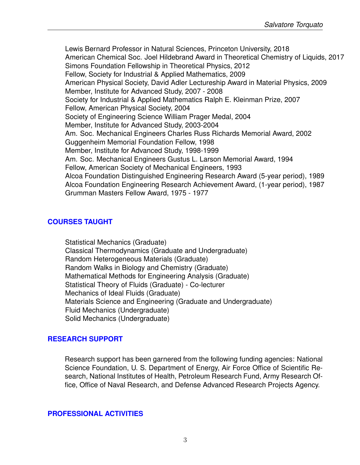Lewis Bernard Professor in Natural Sciences, Princeton University, 2018 American Chemical Soc. Joel Hildebrand Award in Theoretical Chemistry of Liquids, 2017 Simons Foundation Fellowship in Theoretical Physics, 2012 Fellow, Society for Industrial & Applied Mathematics, 2009 American Physical Society, David Adler Lectureship Award in Material Physics, 2009 Member, Institute for Advanced Study, 2007 - 2008 Society for Industrial & Applied Mathematics Ralph E. Kleinman Prize, 2007 Fellow, American Physical Society, 2004 Society of Engineering Science William Prager Medal, 2004 Member, Institute for Advanced Study, 2003-2004 Am. Soc. Mechanical Engineers Charles Russ Richards Memorial Award, 2002 Guggenheim Memorial Foundation Fellow, 1998 Member, Institute for Advanced Study, 1998-1999 Am. Soc. Mechanical Engineers Gustus L. Larson Memorial Award, 1994 Fellow, American Society of Mechanical Engineers, 1993 Alcoa Foundation Distinguished Engineering Research Award (5-year period), 1989 Alcoa Foundation Engineering Research Achievement Award, (1-year period), 1987 Grumman Masters Fellow Award, 1975 - 1977

# **COURSES TAUGHT**

Statistical Mechanics (Graduate) Classical Thermodynamics (Graduate and Undergraduate) Random Heterogeneous Materials (Graduate) Random Walks in Biology and Chemistry (Graduate) Mathematical Methods for Engineering Analysis (Graduate) Statistical Theory of Fluids (Graduate) - Co-lecturer Mechanics of Ideal Fluids (Graduate) Materials Science and Engineering (Graduate and Undergraduate) Fluid Mechanics (Undergraduate) Solid Mechanics (Undergraduate)

## **RESEARCH SUPPORT**

Research support has been garnered from the following funding agencies: National Science Foundation, U. S. Department of Energy, Air Force Office of Scientific Research, National Institutes of Health, Petroleum Research Fund, Army Research Office, Office of Naval Research, and Defense Advanced Research Projects Agency.

#### **PROFESSIONAL ACTIVITIES**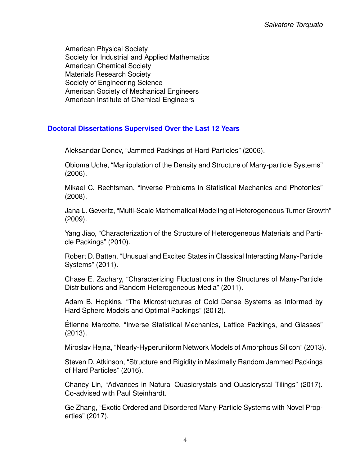American Physical Society Society for Industrial and Applied Mathematics American Chemical Society Materials Research Society Society of Engineering Science American Society of Mechanical Engineers American Institute of Chemical Engineers

#### **Doctoral Dissertations Supervised Over the Last 12 Years**

Aleksandar Donev, "Jammed Packings of Hard Particles" (2006).

Obioma Uche, "Manipulation of the Density and Structure of Many-particle Systems" (2006).

Mikael C. Rechtsman, "Inverse Problems in Statistical Mechanics and Photonics" (2008).

Jana L. Gevertz, "Multi-Scale Mathematical Modeling of Heterogeneous Tumor Growth" (2009).

Yang Jiao, "Characterization of the Structure of Heterogeneous Materials and Particle Packings" (2010).

Robert D. Batten, "Unusual and Excited States in Classical Interacting Many-Particle Systems" (2011).

Chase E. Zachary, "Characterizing Fluctuations in the Structures of Many-Particle Distributions and Random Heterogeneous Media" (2011).

Adam B. Hopkins, "The Microstructures of Cold Dense Systems as Informed by Hard Sphere Models and Optimal Packings" (2012).

Etienne Marcotte, "Inverse Statistical Mechanics, Lattice Packings, and Glasses" ´ (2013).

Miroslav Hejna, "Nearly-Hyperuniform Network Models of Amorphous Silicon" (2013).

Steven D. Atkinson, "Structure and Rigidity in Maximally Random Jammed Packings of Hard Particles" (2016).

Chaney Lin, "Advances in Natural Quasicrystals and Quasicrystal Tilings" (2017). Co-advised with Paul Steinhardt.

Ge Zhang, "Exotic Ordered and Disordered Many-Particle Systems with Novel Properties" (2017).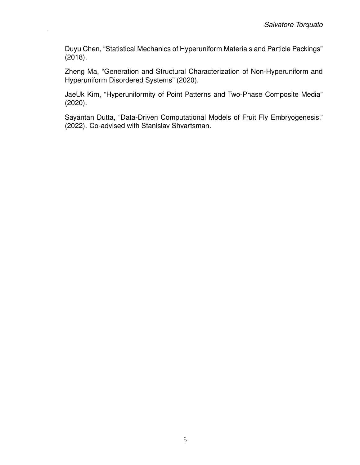Duyu Chen, "Statistical Mechanics of Hyperuniform Materials and Particle Packings" (2018).

Zheng Ma, "Generation and Structural Characterization of Non-Hyperuniform and Hyperuniform Disordered Systems" (2020).

JaeUk Kim, "Hyperuniformity of Point Patterns and Two-Phase Composite Media" (2020).

Sayantan Dutta, "Data-Driven Computational Models of Fruit Fly Embryogenesis," (2022). Co-advised with Stanislav Shvartsman.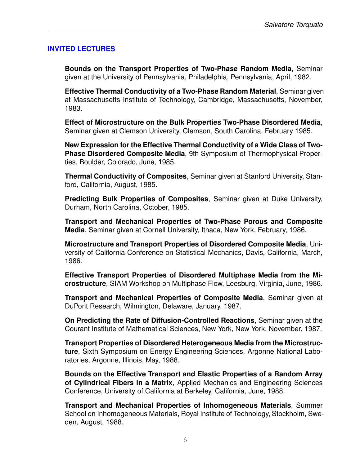## **INVITED LECTURES**

**Bounds on the Transport Properties of Two-Phase Random Media**, Seminar given at the University of Pennsylvania, Philadelphia, Pennsylvania, April, 1982.

**Effective Thermal Conductivity of a Two-Phase Random Material**, Seminar given at Massachusetts Institute of Technology, Cambridge, Massachusetts, November, 1983.

**Effect of Microstructure on the Bulk Properties Two-Phase Disordered Media**, Seminar given at Clemson University, Clemson, South Carolina, February 1985.

**New Expression for the Effective Thermal Conductivity of a Wide Class of Two-Phase Disordered Composite Media**, 9th Symposium of Thermophysical Properties, Boulder, Colorado, June, 1985.

**Thermal Conductivity of Composites**, Seminar given at Stanford University, Stanford, California, August, 1985.

**Predicting Bulk Properties of Composites**, Seminar given at Duke University, Durham, North Carolina, October, 1985.

**Transport and Mechanical Properties of Two-Phase Porous and Composite Media**, Seminar given at Cornell University, Ithaca, New York, February, 1986.

**Microstructure and Transport Properties of Disordered Composite Media**, University of California Conference on Statistical Mechanics, Davis, California, March, 1986.

**Effective Transport Properties of Disordered Multiphase Media from the Microstructure**, SIAM Workshop on Multiphase Flow, Leesburg, Virginia, June, 1986.

**Transport and Mechanical Properties of Composite Media**, Seminar given at DuPont Research, Wilmington, Delaware, January, 1987.

**On Predicting the Rate of Diffusion-Controlled Reactions**, Seminar given at the Courant Institute of Mathematical Sciences, New York, New York, November, 1987.

**Transport Properties of Disordered Heterogeneous Media from the Microstructure**, Sixth Symposium on Energy Engineering Sciences, Argonne National Laboratories, Argonne, Illinois, May, 1988.

**Bounds on the Effective Transport and Elastic Properties of a Random Array of Cylindrical Fibers in a Matrix**, Applied Mechanics and Engineering Sciences Conference, University of California at Berkeley, California, June, 1988.

**Transport and Mechanical Properties of Inhomogeneous Materials**, Summer School on Inhomogeneous Materials, Royal Institute of Technology, Stockholm, Sweden, August, 1988.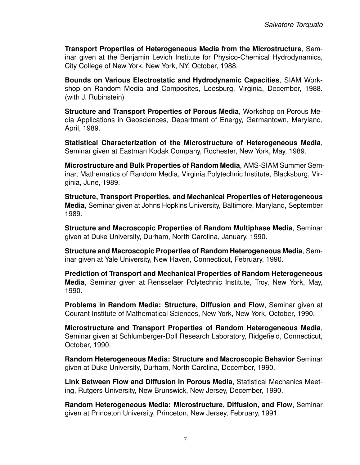**Transport Properties of Heterogeneous Media from the Microstructure**, Seminar given at the Benjamin Levich Institute for Physico-Chemical Hydrodynamics, City College of New York, New York, NY, October, 1988.

**Bounds on Various Electrostatic and Hydrodynamic Capacities**, SIAM Workshop on Random Media and Composites, Leesburg, Virginia, December, 1988. (with J. Rubinstein)

**Structure and Transport Properties of Porous Media**, Workshop on Porous Media Applications in Geosciences, Department of Energy, Germantown, Maryland, April, 1989.

**Statistical Characterization of the Microstructure of Heterogeneous Media**, Seminar given at Eastman Kodak Company, Rochester, New York, May, 1989.

**Microstructure and Bulk Properties of Random Media**, AMS-SIAM Summer Seminar, Mathematics of Random Media, Virginia Polytechnic Institute, Blacksburg, Virginia, June, 1989.

**Structure, Transport Properties, and Mechanical Properties of Heterogeneous Media**, Seminar given at Johns Hopkins University, Baltimore, Maryland, September 1989.

**Structure and Macroscopic Properties of Random Multiphase Media**, Seminar given at Duke University, Durham, North Carolina, January, 1990.

**Structure and Macroscopic Properties of Random Heterogeneous Media**, Seminar given at Yale University, New Haven, Connecticut, February, 1990.

**Prediction of Transport and Mechanical Properties of Random Heterogeneous Media**, Seminar given at Rensselaer Polytechnic Institute, Troy, New York, May, 1990.

**Problems in Random Media: Structure, Diffusion and Flow**, Seminar given at Courant Institute of Mathematical Sciences, New York, New York, October, 1990.

**Microstructure and Transport Properties of Random Heterogeneous Media**, Seminar given at Schlumberger-Doll Research Laboratory, Ridgefield, Connecticut, October, 1990.

**Random Heterogeneous Media: Structure and Macroscopic Behavior** Seminar given at Duke University, Durham, North Carolina, December, 1990.

**Link Between Flow and Diffusion in Porous Media**, Statistical Mechanics Meeting, Rutgers University, New Brunswick, New Jersey, December, 1990.

**Random Heterogeneous Media: Microstructure, Diffusion, and Flow**, Seminar given at Princeton University, Princeton, New Jersey, February, 1991.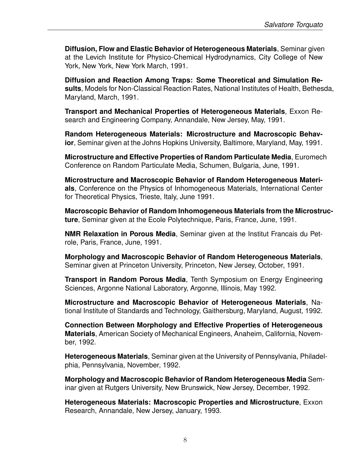**Diffusion, Flow and Elastic Behavior of Heterogeneous Materials**, Seminar given at the Levich Institute for Physico-Chemical Hydrodynamics, City College of New York, New York, New York March, 1991.

**Diffusion and Reaction Among Traps: Some Theoretical and Simulation Results**, Models for Non-Classical Reaction Rates, National Institutes of Health, Bethesda, Maryland, March, 1991.

**Transport and Mechanical Properties of Heterogeneous Materials**, Exxon Research and Engineering Company, Annandale, New Jersey, May, 1991.

**Random Heterogeneous Materials: Microstructure and Macroscopic Behavior**, Seminar given at the Johns Hopkins University, Baltimore, Maryland, May, 1991.

**Microstructure and Effective Properties of Random Particulate Media**, Euromech Conference on Random Particulate Media, Schumen, Bulgaria, June, 1991.

**Microstructure and Macroscopic Behavior of Random Heterogeneous Materials**, Conference on the Physics of Inhomogeneous Materials, International Center for Theoretical Physics, Trieste, Italy, June 1991.

**Macroscopic Behavior of Random Inhomogeneous Materials from the Microstructure**, Seminar given at the Ecole Polytechnique, Paris, France, June, 1991.

**NMR Relaxation in Porous Media**, Seminar given at the Institut Francais du Petrole, Paris, France, June, 1991.

**Morphology and Macroscopic Behavior of Random Heterogeneous Materials**, Seminar given at Princeton University, Princeton, New Jersey, October, 1991.

**Transport in Random Porous Media**, Tenth Symposium on Energy Engineering Sciences, Argonne National Laboratory, Argonne, Illinois, May 1992.

**Microstructure and Macroscopic Behavior of Heterogeneous Materials**, National Institute of Standards and Technology, Gaithersburg, Maryland, August, 1992.

**Connection Between Morphology and Effective Properties of Heterogeneous Materials**, American Society of Mechanical Engineers, Anaheim, California, November, 1992.

**Heterogeneous Materials**, Seminar given at the University of Pennsylvania, Philadelphia, Pennsylvania, November, 1992.

**Morphology and Macroscopic Behavior of Random Heterogeneous Media** Seminar given at Rutgers University, New Brunswick, New Jersey, December, 1992.

**Heterogeneous Materials: Macroscopic Properties and Microstructure**, Exxon Research, Annandale, New Jersey, January, 1993.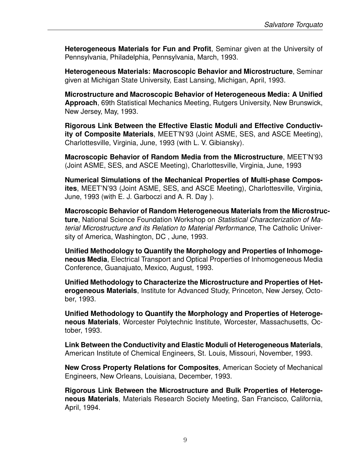**Heterogeneous Materials for Fun and Profit**, Seminar given at the University of Pennsylvania, Philadelphia, Pennsylvania, March, 1993.

**Heterogeneous Materials: Macroscopic Behavior and Microstructure**, Seminar given at Michigan State University, East Lansing, Michigan, April, 1993.

**Microstructure and Macroscopic Behavior of Heterogeneous Media: A Unified Approach**, 69th Statistical Mechanics Meeting, Rutgers University, New Brunswick, New Jersey, May, 1993.

**Rigorous Link Between the Effective Elastic Moduli and Effective Conductivity of Composite Materials**, MEET'N'93 (Joint ASME, SES, and ASCE Meeting), Charlottesville, Virginia, June, 1993 (with L. V. Gibiansky).

**Macroscopic Behavior of Random Media from the Microstructure**, MEET'N'93 (Joint ASME, SES, and ASCE Meeting), Charlottesville, Virginia, June, 1993

**Numerical Simulations of the Mechanical Properties of Multi-phase Composites**, MEET'N'93 (Joint ASME, SES, and ASCE Meeting), Charlottesville, Virginia, June, 1993 (with E. J. Garboczi and A. R. Day ).

**Macroscopic Behavior of Random Heterogeneous Materials from the Microstructure**, National Science Foundation Workshop on *Statistical Characterization of Material Microstructure and its Relation to Material Performance*, The Catholic University of America, Washington, DC , June, 1993.

**Unified Methodology to Quantify the Morphology and Properties of Inhomogeneous Media**, Electrical Transport and Optical Properties of Inhomogeneous Media Conference, Guanajuato, Mexico, August, 1993.

**Unified Methodology to Characterize the Microstructure and Properties of Heterogeneous Materials**, Institute for Advanced Study, Princeton, New Jersey, October, 1993.

**Unified Methodology to Quantify the Morphology and Properties of Heterogeneous Materials**, Worcester Polytechnic Institute, Worcester, Massachusetts, October, 1993.

**Link Between the Conductivity and Elastic Moduli of Heterogeneous Materials**, American Institute of Chemical Engineers, St. Louis, Missouri, November, 1993.

**New Cross Property Relations for Composites**, American Society of Mechanical Engineers, New Orleans, Louisiana, December, 1993.

**Rigorous Link Between the Microstructure and Bulk Properties of Heterogeneous Materials**, Materials Research Society Meeting, San Francisco, California, April, 1994.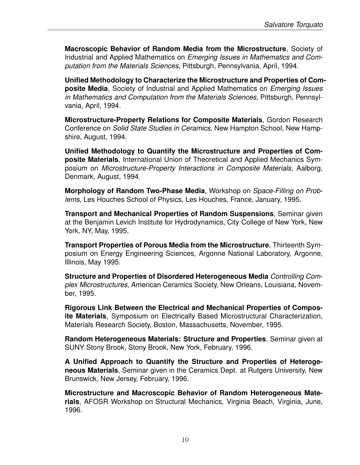**Macroscopic Behavior of Random Media from the Microstructure**, Society of Industrial and Applied Mathematics on *Emerging Issues in Mathematics and Computation from the Materials Sciences*, Pittsburgh, Pennsylvania, April, 1994.

**Unified Methodology to Characterize the Microstructure and Properties of Composite Media**, Society of Industrial and Applied Mathematics on *Emerging Issues in Mathematics and Computation from the Materials Sciences*, Pittsburgh, Pennsylvania, April, 1994.

**Microstructure-Property Relations for Composite Materials**, Gordon Research Conference on *Solid State Studies in Ceramics*, New Hampton School, New Hampshire, August, 1994.

**Unified Methodology to Quantify the Microstructure and Properties of Composite Materials**, International Union of Theoretical and Applied Mechanics Symposium on *Microstructure-Property Interactions in Composite Materials*, Aalborg, Denmark, August, 1994.

**Morphology of Random Two-Phase Media**, Workshop on *Space-Filling on Problems*, Les Houches School of Physics, Les Houches, France, January, 1995.

**Transport and Mechanical Properties of Random Suspensions**, Seminar given at the Benjamin Levich Institute for Hydrodynamics, City College of New York, New York, NY, May, 1995.

**Transport Properties of Porous Media from the Microstructure**, Thirteenth Symposium on Energy Engineering Sciences, Argonne National Laboratory, Argonne, Illinois, May 1995.

**Structure and Properties of Disordered Heterogeneous Media** *Controlling Complex Microstructures*, American Ceramics Society, New Orleans, Louisiana, November, 1995.

**Rigorous Link Between the Electrical and Mechanical Properties of Composite Materials**, Symposium on Electrically Based Microstructural Characterization, Materials Research Society, Boston, Massachusetts, November, 1995.

**Random Heterogeneous Materials: Structure and Properties**, Seminar given at SUNY Stony Brook, Stony Brook, New York, February, 1996.

**A Unified Approach to Quantify the Structure and Properties of Heterogeneous Materials**, Seminar given in the Ceramics Dept. at Rutgers University, New Brunswick, New Jersey, February, 1996.

**Microstructure and Macroscopic Behavior of Random Heterogeneous Materials**, AFOSR Workshop on Structural Mechanics, Virginia Beach, Virginia, June, 1996.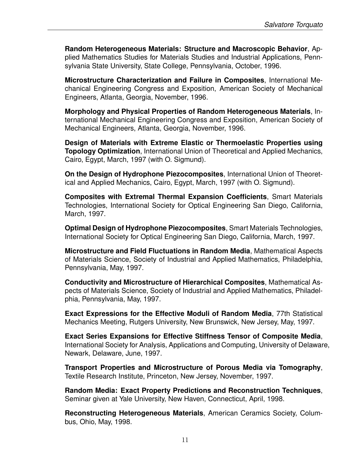**Random Heterogeneous Materials: Structure and Macroscopic Behavior**, Applied Mathematics Studies for Materials Studies and Industrial Applications, Pennsylvania State University, State College, Pennsylvania, October, 1996.

**Microstructure Characterization and Failure in Composites**, International Mechanical Engineering Congress and Exposition, American Society of Mechanical Engineers, Atlanta, Georgia, November, 1996.

**Morphology and Physical Properties of Random Heterogeneous Materials**, International Mechanical Engineering Congress and Exposition, American Society of Mechanical Engineers, Atlanta, Georgia, November, 1996.

**Design of Materials with Extreme Elastic or Thermoelastic Properties using Topology Optimization**, International Union of Theoretical and Applied Mechanics, Cairo, Egypt, March, 1997 (with O. Sigmund).

**On the Design of Hydrophone Piezocomposites**, International Union of Theoretical and Applied Mechanics, Cairo, Egypt, March, 1997 (with O. Sigmund).

**Composites with Extremal Thermal Expansion Coefficients**, Smart Materials Technologies, International Society for Optical Engineering San Diego, California, March, 1997.

**Optimal Design of Hydrophone Piezocomposites**, Smart Materials Technologies, International Society for Optical Engineering San Diego, California, March, 1997.

**Microstructure and Field Fluctuations in Random Media**, Mathematical Aspects of Materials Science, Society of Industrial and Applied Mathematics, Philadelphia, Pennsylvania, May, 1997.

**Conductivity and Microstructure of Hierarchical Composites**, Mathematical Aspects of Materials Science, Society of Industrial and Applied Mathematics, Philadelphia, Pennsylvania, May, 1997.

**Exact Expressions for the Effective Moduli of Random Media**, 77th Statistical Mechanics Meeting, Rutgers University, New Brunswick, New Jersey, May, 1997.

**Exact Series Expansions for Effective Stiffness Tensor of Composite Media**, International Society for Analysis, Applications and Computing, University of Delaware, Newark, Delaware, June, 1997.

**Transport Properties and Microstructure of Porous Media via Tomography**, Textile Research Institute, Princeton, New Jersey, November, 1997.

**Random Media: Exact Property Predictions and Reconstruction Techniques**, Seminar given at Yale University, New Haven, Connecticut, April, 1998.

**Reconstructing Heterogeneous Materials**, American Ceramics Society, Columbus, Ohio, May, 1998.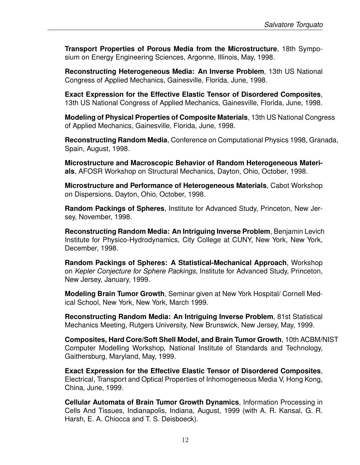**Transport Properties of Porous Media from the Microstructure**, 18th Symposium on Energy Engineering Sciences, Argonne, Illinois, May, 1998.

**Reconstructing Heterogeneous Media: An Inverse Problem**, 13th US National Congress of Applied Mechanics, Gainesville, Florida, June, 1998.

**Exact Expression for the Effective Elastic Tensor of Disordered Composites**, 13th US National Congress of Applied Mechanics, Gainesville, Florida, June, 1998.

**Modeling of Physical Properties of Composite Materials**, 13th US National Congress of Applied Mechanics, Gainesville, Florida, June, 1998.

**Reconstructing Random Media**, Conference on Computational Physics 1998, Granada, Spain, August, 1998.

**Microstructure and Macroscopic Behavior of Random Heterogeneous Materials**, AFOSR Workshop on Structural Mechanics, Dayton, Ohio, October, 1998.

**Microstructure and Performance of Heterogeneous Materials**, Cabot Workshop on Dispersions, Dayton, Ohio, October, 1998.

**Random Packings of Spheres**, Institute for Advanced Study, Princeton, New Jersey, November, 1998.

**Reconstructing Random Media: An Intriguing Inverse Problem**, Benjamin Levich Institute for Physico-Hydrodynamics, City College at CUNY, New York, New York, December, 1998.

**Random Packings of Spheres: A Statistical-Mechanical Approach**, Workshop on *Kepler Conjecture for Sphere Packings*, Institute for Advanced Study, Princeton, New Jersey, January, 1999.

**Modeling Brain Tumor Growth**, Seminar given at New York Hospital/ Cornell Medical School, New York, New York, March 1999.

**Reconstructing Random Media: An Intriguing Inverse Problem**, 81st Statistical Mechanics Meeting, Rutgers University, New Brunswick, New Jersey, May, 1999.

**Composites, Hard Core/Soft Shell Model, and Brain Tumor Growth**, 10th ACBM/NIST Computer Modelling Workshop, National Institute of Standards and Technology, Gaithersburg, Maryland, May, 1999.

**Exact Expression for the Effective Elastic Tensor of Disordered Composites**, Electrical, Transport and Optical Properties of Inhomogeneous Media V, Hong Kong, China, June, 1999.

**Cellular Automata of Brain Tumor Growth Dynamics**, Information Processing in Cells And Tissues, Indianapolis, Indiana, August, 1999 (with A. R. Kansal, G. R. Harsh, E. A. Chiocca and T. S. Deisboeck).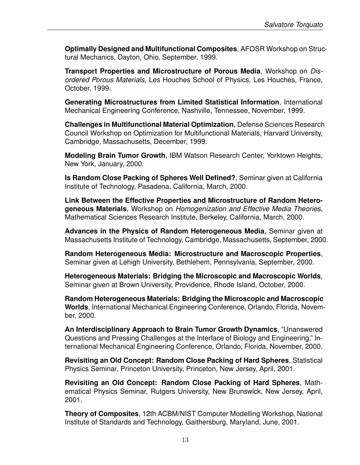**Optimally Designed and Multifunctional Composites**, AFOSR Workshop on Structural Mechanics, Dayton, Ohio, September, 1999.

**Transport Properties and Microstructure of Porous Media**, Workshop on *Disordered Porous Materials*, Les Houches School of Physics, Les Houches, France, October, 1999.

**Generating Microstructures from Limited Statistical Information**, International Mechanical Engineering Conference, Nashville, Tennessee, November, 1999.

**Challenges in Multifunctional Material Optimization**, Defense Sciences Research Council Workshop on Optimization for Multifunctional Materials, Harvard University, Cambridge, Massachusetts, December, 1999.

**Modeling Brain Tumor Growth**, IBM Watson Research Center, Yorktown Heights, New York, January, 2000.

**Is Random Close Packing of Spheres Well Defined?**, Seminar given at California Institute of Technology, Pasadena, California, March, 2000.

**Link Between the Effective Properties and Microstructure of Random Heterogeneous Materials**, Workshop on *Homogenization and Effective Media Theories*, Mathematical Sciences Research Institute, Berkeley, California, March, 2000.

**Advances in the Physics of Random Heterogeneous Media**, Seminar given at Massachusetts Institute of Technology, Cambridge, Massachusetts, September, 2000.

**Random Heterogeneous Media: Microstructure and Macroscopic Properties**, Seminar given at Lehigh University, Bethlehem, Pennsylvania, September, 2000.

**Heterogeneous Materials: Bridging the Microscopic and Macroscopic Worlds**, Seminar given at Brown University, Providence, Rhode Island, October, 2000.

**Random Heterogeneous Materials: Bridging the Microscopic and Macroscopic Worlds**, International Mechanical Engineering Conference, Orlando, Florida, November, 2000.

**An Interdisciplinary Approach to Brain Tumor Growth Dynamics**, "Unanswered Questions and Pressing Challenges at the Interface of Biology and Engineering," International Mechanical Engineering Conference, Orlando, Florida, November, 2000.

**Revisiting an Old Concept: Random Close Packing of Hard Spheres**, Statistical Physics Seminar, Princeton University, Princeton, New Jersey, April, 2001.

**Revisiting an Old Concept: Random Close Packing of Hard Spheres**, Mathematical Physics Seminar, Rutgers University, New Brunswick, New Jersey, April, 2001.

**Theory of Composites**, 12th ACBM/NIST Computer Modelling Workshop, National Institute of Standards and Technology, Gaithersburg, Maryland, June, 2001.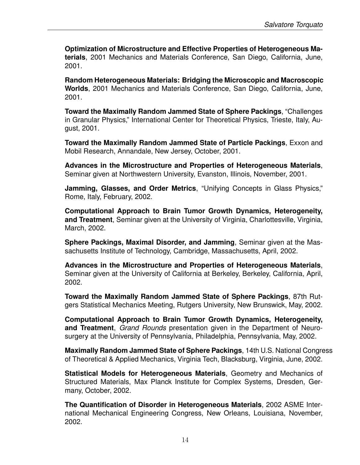**Optimization of Microstructure and Effective Properties of Heterogeneous Materials**, 2001 Mechanics and Materials Conference, San Diego, California, June, 2001.

**Random Heterogeneous Materials: Bridging the Microscopic and Macroscopic Worlds**, 2001 Mechanics and Materials Conference, San Diego, California, June, 2001.

**Toward the Maximally Random Jammed State of Sphere Packings**, "Challenges in Granular Physics," International Center for Theoretical Physics, Trieste, Italy, August, 2001.

**Toward the Maximally Random Jammed State of Particle Packings**, Exxon and Mobil Research, Annandale, New Jersey, October, 2001.

**Advances in the Microstructure and Properties of Heterogeneous Materials**, Seminar given at Northwestern University, Evanston, Illinois, November, 2001.

**Jamming, Glasses, and Order Metrics**, "Unifying Concepts in Glass Physics," Rome, Italy, February, 2002.

**Computational Approach to Brain Tumor Growth Dynamics, Heterogeneity, and Treatment**, Seminar given at the University of Virginia, Charlottesville, Virginia, March, 2002.

**Sphere Packings, Maximal Disorder, and Jamming**, Seminar given at the Massachusetts Institute of Technology, Cambridge, Massachusetts, April, 2002.

**Advances in the Microstructure and Properties of Heterogeneous Materials**, Seminar given at the University of California at Berkeley, Berkeley, California, April, 2002.

**Toward the Maximally Random Jammed State of Sphere Packings**, 87th Rutgers Statistical Mechanics Meeting, Rutgers University, New Brunswick, May, 2002.

**Computational Approach to Brain Tumor Growth Dynamics, Heterogeneity, and Treatment**, *Grand Rounds* presentation given in the Department of Neurosurgery at the University of Pennsylvania, Philadelphia, Pennsylvania, May, 2002.

**Maximally Random Jammed State of Sphere Packings**, 14th U.S. National Congress of Theoretical & Applied Mechanics, Virginia Tech, Blacksburg, Virginia, June, 2002.

**Statistical Models for Heterogeneous Materials**, Geometry and Mechanics of Structured Materials, Max Planck Institute for Complex Systems, Dresden, Germany, October, 2002.

**The Quantification of Disorder in Heterogeneous Materials**, 2002 ASME International Mechanical Engineering Congress, New Orleans, Louisiana, November, 2002.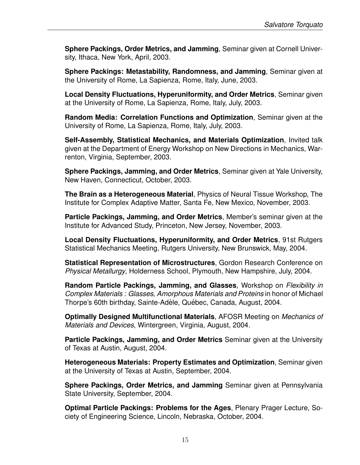**Sphere Packings, Order Metrics, and Jamming**, Seminar given at Cornell University, Ithaca, New York, April, 2003.

**Sphere Packings: Metastability, Randomness, and Jamming**, Seminar given at the University of Rome, La Sapienza, Rome, Italy, June, 2003.

**Local Density Fluctuations, Hyperuniformity, and Order Metrics**, Seminar given at the University of Rome, La Sapienza, Rome, Italy, July, 2003.

**Random Media: Correlation Functions and Optimization**, Seminar given at the University of Rome, La Sapienza, Rome, Italy, July, 2003.

**Self-Assembly, Statistical Mechanics, and Materials Optimization**, Invited talk given at the Department of Energy Workshop on New Directions in Mechanics, Warrenton, Virginia, September, 2003.

**Sphere Packings, Jamming, and Order Metrics**, Seminar given at Yale University, New Haven, Connecticut, October, 2003.

**The Brain as a Heterogeneous Material**, Physics of Neural Tissue Workshop, The Institute for Complex Adaptive Matter, Santa Fe, New Mexico, November, 2003.

**Particle Packings, Jamming, and Order Metrics**, Member's seminar given at the Institute for Advanced Study, Princeton, New Jersey, November, 2003.

**Local Density Fluctuations, Hyperuniformity, and Order Metrics**, 91st Rutgers Statistical Mechanics Meeting, Rutgers University, New Brunswick, May, 2004.

**Statistical Representation of Microstructures**, Gordon Research Conference on *Physical Metallurgy*, Holderness School, Plymouth, New Hampshire, July, 2004.

**Random Particle Packings, Jamming, and Glasses**, Workshop on *Flexibility in Complex Materials : Glasses, Amorphous Materials and Proteins* in honor of Michael Thorpe's 60th birthday, Sainte-Adèle, Québec, Canada, August, 2004.

**Optimally Designed Multifunctional Materials**, AFOSR Meeting on *Mechanics of Materials and Devices*, Wintergreen, Virginia, August, 2004.

**Particle Packings, Jamming, and Order Metrics** Seminar given at the University of Texas at Austin, August, 2004.

**Heterogeneous Materials: Property Estimates and Optimization**, Seminar given at the University of Texas at Austin, September, 2004.

**Sphere Packings, Order Metrics, and Jamming** Seminar given at Pennsylvania State University, September, 2004.

**Optimal Particle Packings: Problems for the Ages**, Plenary Prager Lecture, Society of Engineering Science, Lincoln, Nebraska, October, 2004.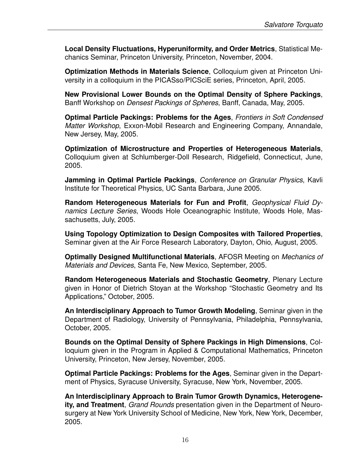**Local Density Fluctuations, Hyperuniformity, and Order Metrics**, Statistical Mechanics Seminar, Princeton University, Princeton, November, 2004.

**Optimization Methods in Materials Science**, Colloquium given at Princeton University in a colloquium in the PICASso/PICSciE series, Princeton, April, 2005.

**New Provisional Lower Bounds on the Optimal Density of Sphere Packings**, Banff Workshop on *Densest Packings of Spheres*, Banff, Canada, May, 2005.

**Optimal Particle Packings: Problems for the Ages**, *Frontiers in Soft Condensed Matter Workshop*, Exxon-Mobil Research and Engineering Company, Annandale, New Jersey, May, 2005.

**Optimization of Microstructure and Properties of Heterogeneous Materials**, Colloquium given at Schlumberger-Doll Research, Ridgefield, Connecticut, June, 2005.

**Jamming in Optimal Particle Packings**, *Conference on Granular Physics*, Kavli Institute for Theoretical Physics, UC Santa Barbara, June 2005.

**Random Heterogeneous Materials for Fun and Profit**, *Geophysical Fluid Dynamics Lecture Series*, Woods Hole Oceanographic Institute, Woods Hole, Massachusetts, July, 2005.

**Using Topology Optimization to Design Composites with Tailored Properties**, Seminar given at the Air Force Research Laboratory, Dayton, Ohio, August, 2005.

**Optimally Designed Multifunctional Materials**, AFOSR Meeting on *Mechanics of Materials and Devices*, Santa Fe, New Mexico, September, 2005.

**Random Heterogeneous Materials and Stochastic Geometry**, Plenary Lecture given in Honor of Dietrich Stoyan at the Workshop "Stochastic Geometry and Its Applications," October, 2005.

**An Interdisciplinary Approach to Tumor Growth Modeling**, Seminar given in the Department of Radiology, University of Pennsylvania, Philadelphia, Pennsylvania, October, 2005.

**Bounds on the Optimal Density of Sphere Packings in High Dimensions**, Colloquium given in the Program in Applied & Computational Mathematics, Princeton University, Princeton, New Jersey, November, 2005.

**Optimal Particle Packings: Problems for the Ages**, Seminar given in the Department of Physics, Syracuse University, Syracuse, New York, November, 2005.

**An Interdisciplinary Approach to Brain Tumor Growth Dynamics, Heterogeneity, and Treatment**, *Grand Rounds* presentation given in the Department of Neurosurgery at New York University School of Medicine, New York, New York, December, 2005.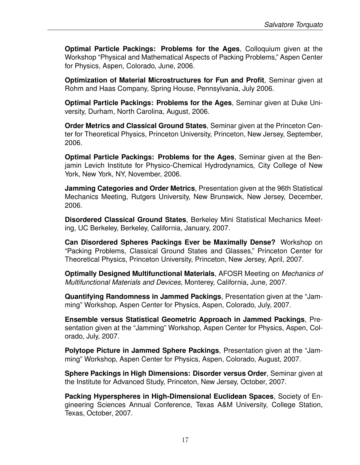**Optimal Particle Packings: Problems for the Ages**, Colloquium given at the Workshop "Physical and Mathematical Aspects of Packing Problems," Aspen Center for Physics, Aspen, Colorado, June, 2006.

**Optimization of Material Microstructures for Fun and Profit**, Seminar given at Rohm and Haas Company, Spring House, Pennsylvania, July 2006.

**Optimal Particle Packings: Problems for the Ages**, Seminar given at Duke University, Durham, North Carolina, August, 2006.

**Order Metrics and Classical Ground States**, Seminar given at the Princeton Center for Theoretical Physics, Princeton University, Princeton, New Jersey, September, 2006.

**Optimal Particle Packings: Problems for the Ages**, Seminar given at the Benjamin Levich Institute for Physico-Chemical Hydrodynamics, City College of New York, New York, NY, November, 2006.

**Jamming Categories and Order Metrics**, Presentation given at the 96th Statistical Mechanics Meeting, Rutgers University, New Brunswick, New Jersey, December, 2006.

**Disordered Classical Ground States**, Berkeley Mini Statistical Mechanics Meeting, UC Berkeley, Berkeley, California, January, 2007.

**Can Disordered Spheres Packings Ever be Maximally Dense?** Workshop on "Packing Problems, Classical Ground States and Glasses," Princeton Center for Theoretical Physics, Princeton University, Princeton, New Jersey, April, 2007.

**Optimally Designed Multifunctional Materials**, AFOSR Meeting on *Mechanics of Multifunctional Materials and Devices*, Monterey, California, June, 2007.

**Quantifying Randomness in Jammed Packings**, Presentation given at the "Jamming" Workshop, Aspen Center for Physics, Aspen, Colorado, July, 2007.

**Ensemble versus Statistical Geometric Approach in Jammed Packings**, Presentation given at the "Jamming" Workshop, Aspen Center for Physics, Aspen, Colorado, July, 2007.

**Polytope Picture in Jammed Sphere Packings**, Presentation given at the "Jamming" Workshop, Aspen Center for Physics, Aspen, Colorado, August, 2007.

**Sphere Packings in High Dimensions: Disorder versus Order**, Seminar given at the Institute for Advanced Study, Princeton, New Jersey, October, 2007.

**Packing Hyperspheres in High-Dimensional Euclidean Spaces**, Society of Engineering Sciences Annual Conference, Texas A&M University, College Station, Texas, October, 2007.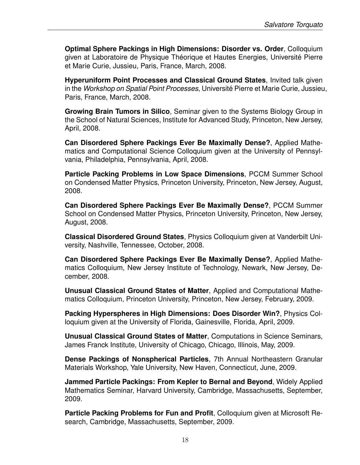**Optimal Sphere Packings in High Dimensions: Disorder vs. Order**, Colloquium given at Laboratoire de Physique Théorique et Hautes Energies, Université Pierre et Marie Curie, Jussieu, Paris, France, March, 2008.

**Hyperuniform Point Processes and Classical Ground States**, Invited talk given in the *Workshop on Spatial Point Processes*, Universite Pierre et Marie Curie, Jussieu, ´ Paris, France, March, 2008.

**Growing Brain Tumors in Silico**, Seminar given to the Systems Biology Group in the School of Natural Sciences, Institute for Advanced Study, Princeton, New Jersey, April, 2008.

**Can Disordered Sphere Packings Ever Be Maximally Dense?**, Applied Mathematics and Computational Science Colloquium given at the University of Pennsylvania, Philadelphia, Pennsylvania, April, 2008.

**Particle Packing Problems in Low Space Dimensions**, PCCM Summer School on Condensed Matter Physics, Princeton University, Princeton, New Jersey, August, 2008.

**Can Disordered Sphere Packings Ever Be Maximally Dense?**, PCCM Summer School on Condensed Matter Physics, Princeton University, Princeton, New Jersey, August, 2008.

**Classical Disordered Ground States**, Physics Colloquium given at Vanderbilt University, Nashville, Tennessee, October, 2008.

**Can Disordered Sphere Packings Ever Be Maximally Dense?**, Applied Mathematics Colloquium, New Jersey Institute of Technology, Newark, New Jersey, December, 2008.

**Unusual Classical Ground States of Matter**, Applied and Computational Mathematics Colloquium, Princeton University, Princeton, New Jersey, February, 2009.

**Packing Hyperspheres in High Dimensions: Does Disorder Win?**, Physics Colloquium given at the University of Florida, Gainesville, Florida, April, 2009.

**Unusual Classical Ground States of Matter**, Computations in Science Seminars, James Franck Institute, University of Chicago, Chicago, Illinois, May, 2009.

**Dense Packings of Nonspherical Particles**, 7th Annual Northeastern Granular Materials Workshop, Yale University, New Haven, Connecticut, June, 2009.

**Jammed Particle Packings: From Kepler to Bernal and Beyond**, Widely Applied Mathematics Seminar, Harvard University, Cambridge, Massachusetts, September, 2009.

**Particle Packing Problems for Fun and Profit**, Colloquium given at Microsoft Research, Cambridge, Massachusetts, September, 2009.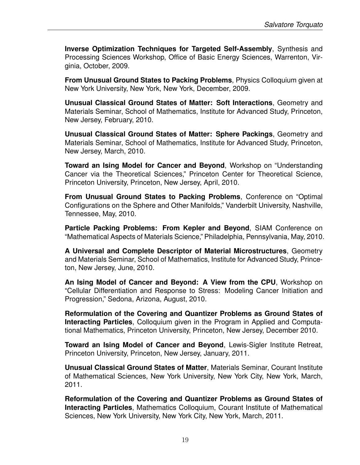**Inverse Optimization Techniques for Targeted Self-Assembly**, Synthesis and Processing Sciences Workshop, Office of Basic Energy Sciences, Warrenton, Virginia, October, 2009.

**From Unusual Ground States to Packing Problems**, Physics Colloquium given at New York University, New York, New York, December, 2009.

**Unusual Classical Ground States of Matter: Soft Interactions**, Geometry and Materials Seminar, School of Mathematics, Institute for Advanced Study, Princeton, New Jersey, February, 2010.

**Unusual Classical Ground States of Matter: Sphere Packings**, Geometry and Materials Seminar, School of Mathematics, Institute for Advanced Study, Princeton, New Jersey, March, 2010.

**Toward an Ising Model for Cancer and Beyond**, Workshop on "Understanding Cancer via the Theoretical Sciences," Princeton Center for Theoretical Science, Princeton University, Princeton, New Jersey, April, 2010.

**From Unusual Ground States to Packing Problems**, Conference on "Optimal Configurations on the Sphere and Other Manifolds," Vanderbilt University, Nashville, Tennessee, May, 2010.

**Particle Packing Problems: From Kepler and Beyond**, SIAM Conference on "Mathematical Aspects of Materials Science," Philadelphia, Pennsylvania, May, 2010.

**A Universal and Complete Descriptor of Material Microstructures**, Geometry and Materials Seminar, School of Mathematics, Institute for Advanced Study, Princeton, New Jersey, June, 2010.

**An Ising Model of Cancer and Beyond: A View from the CPU**, Workshop on "Cellular Differentiation and Response to Stress: Modeling Cancer Initiation and Progression," Sedona, Arizona, August, 2010.

**Reformulation of the Covering and Quantizer Problems as Ground States of Interacting Particles**, Colloquium given in the Program in Applied and Computational Mathematics, Princeton University, Princeton, New Jersey, December 2010.

**Toward an Ising Model of Cancer and Beyond**, Lewis-Sigler Institute Retreat, Princeton University, Princeton, New Jersey, January, 2011.

**Unusual Classical Ground States of Matter**, Materials Seminar, Courant Institute of Mathematical Sciences, New York University, New York City, New York, March, 2011.

**Reformulation of the Covering and Quantizer Problems as Ground States of Interacting Particles**, Mathematics Colloquium, Courant Institute of Mathematical Sciences, New York University, New York City, New York, March, 2011.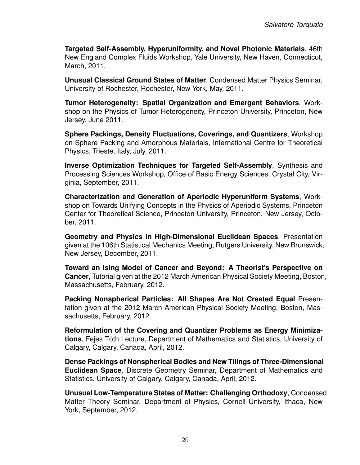**Targeted Self-Assembly, Hyperuniformity, and Novel Photonic Materials**, 46th New England Complex Fluids Workshop, Yale University, New Haven, Connecticut, March, 2011.

**Unusual Classical Ground States of Matter**, Condensed Matter Physics Seminar, University of Rochester, Rochester, New York, May, 2011.

**Tumor Heterogeneity: Spatial Organization and Emergent Behaviors**, Workshop on the Physics of Tumor Heterogeneity, Princeton University, Princeton, New Jersey, June 2011.

**Sphere Packings, Density Fluctuations, Coverings, and Quantizers**, Workshop on Sphere Packing and Amorphous Materials, International Centre for Theoretical Physics, Trieste, Italy, July, 2011.

**Inverse Optimization Techniques for Targeted Self-Assembly**, Synthesis and Processing Sciences Workshop, Office of Basic Energy Sciences, Crystal City, Virginia, September, 2011.

**Characterization and Generation of Aperiodic Hyperuniform Systems**, Workshop on Towards Unifying Concepts in the Physics of Aperiodic Systems, Princeton Center for Theoretical Science, Princeton University, Princeton, New Jersey, October, 2011.

**Geometry and Physics in High-Dimensional Euclidean Spaces**, Presentation given at the 106th Statistical Mechanics Meeting, Rutgers University, New Brunswick, New Jersey, December, 2011.

**Toward an Ising Model of Cancer and Beyond: A Theorist's Perspective on Cancer**, Tutorial given at the 2012 March American Physical Society Meeting, Boston, Massachusetts, February, 2012.

**Packing Nonspherical Particles: All Shapes Are Not Created Equal** Presentation given at the 2012 March American Physical Society Meeting, Boston, Massachusetts, February, 2012.

**Reformulation of the Covering and Quantizer Problems as Energy Minimizations**, Fejes Toth Lecture, Department of Mathematics and Statistics, University of ´ Calgary, Calgary, Canada, April, 2012.

**Dense Packings of Nonspherical Bodies and New Tilings of Three-Dimensional Euclidean Space**, Discrete Geometry Seminar, Department of Mathematics and Statistics, University of Calgary, Calgary, Canada, April, 2012.

**Unusual Low-Temperature States of Matter: Challenging Orthodoxy**, Condensed Matter Theory Seminar, Department of Physics, Cornell University, Ithaca, New York, September, 2012.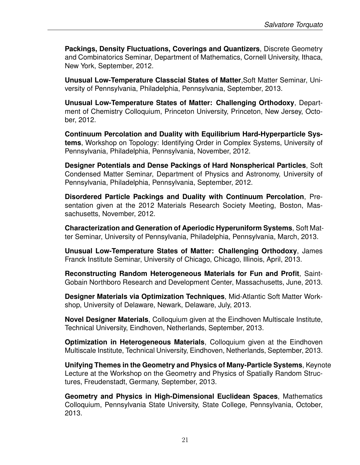**Packings, Density Fluctuations, Coverings and Quantizers**, Discrete Geometry and Combinatorics Seminar, Department of Mathematics, Cornell University, Ithaca, New York, September, 2012.

**Unusual Low-Temperature Classcial States of Matter**,Soft Matter Seminar, University of Pennsylvania, Philadelphia, Pennsylvania, September, 2013.

**Unusual Low-Temperature States of Matter: Challenging Orthodoxy**, Department of Chemistry Colloquium, Princeton University, Princeton, New Jersey, October, 2012.

**Continuum Percolation and Duality with Equilibrium Hard-Hyperparticle Systems**, Workshop on Topology: Identifying Order in Complex Systems, University of Pennsylvania, Philadelphia, Pennsylvania, November, 2012.

**Designer Potentials and Dense Packings of Hard Nonspherical Particles**, Soft Condensed Matter Seminar, Department of Physics and Astronomy, University of Pennsylvania, Philadelphia, Pennsylvania, September, 2012.

**Disordered Particle Packings and Duality with Continuum Percolation**, Presentation given at the 2012 Materials Research Society Meeting, Boston, Massachusetts, November, 2012.

**Characterization and Generation of Aperiodic Hyperuniform Systems**, Soft Matter Seminar, University of Pennsylvania, Philadelphia, Pennsylvania, March, 2013.

**Unusual Low-Temperature States of Matter: Challenging Orthodoxy**, James Franck Institute Seminar, University of Chicago, Chicago, Illinois, April, 2013.

**Reconstructing Random Heterogeneous Materials for Fun and Profit**, Saint-Gobain Northboro Research and Development Center, Massachusetts, June, 2013.

**Designer Materials via Optimization Techniques**, Mid-Atlantic Soft Matter Workshop, University of Delaware, Newark, Delaware, July, 2013.

**Novel Designer Materials**, Colloquium given at the Eindhoven Multiscale Institute, Technical University, Eindhoven, Netherlands, September, 2013.

**Optimization in Heterogeneous Materials**, Colloquium given at the Eindhoven Multiscale Institute, Technical University, Eindhoven, Netherlands, September, 2013.

**Unifying Themes in the Geometry and Physics of Many-Particle Systems**, Keynote Lecture at the Workshop on the Geometry and Physics of Spatially Random Structures, Freudenstadt, Germany, September, 2013.

**Geometry and Physics in High-Dimensional Euclidean Spaces**, Mathematics Colloquium, Pennsylvania State University, State College, Pennsylvania, October, 2013.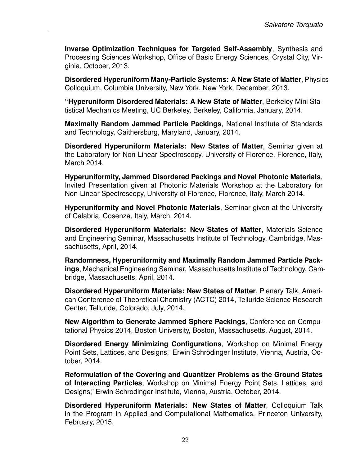**Inverse Optimization Techniques for Targeted Self-Assembly**, Synthesis and Processing Sciences Workshop, Office of Basic Energy Sciences, Crystal City, Virginia, October, 2013.

**Disordered Hyperuniform Many-Particle Systems: A New State of Matter**, Physics Colloquium, Columbia University, New York, New York, December, 2013.

**"Hyperuniform Disordered Materials: A New State of Matter**, Berkeley Mini Statistical Mechanics Meeting, UC Berkeley, Berkeley, California, January, 2014.

**Maximally Random Jammed Particle Packings**, National Institute of Standards and Technology, Gaithersburg, Maryland, January, 2014.

**Disordered Hyperuniform Materials: New States of Matter**, Seminar given at the Laboratory for Non-Linear Spectroscopy, University of Florence, Florence, Italy, March 2014.

**Hyperuniformity, Jammed Disordered Packings and Novel Photonic Materials**, Invited Presentation given at Photonic Materials Workshop at the Laboratory for Non-Linear Spectroscopy, University of Florence, Florence, Italy, March 2014.

**Hyperuniformity and Novel Photonic Materials**, Seminar given at the University of Calabria, Cosenza, Italy, March, 2014.

**Disordered Hyperuniform Materials: New States of Matter**, Materials Science and Engineering Seminar, Massachusetts Institute of Technology, Cambridge, Massachusetts, April, 2014.

**Randomness, Hyperuniformity and Maximally Random Jammed Particle Packings**, Mechanical Engineering Seminar, Massachusetts Institute of Technology, Cambridge, Massachusetts, April, 2014.

**Disordered Hyperuniform Materials: New States of Matter**, Plenary Talk, American Conference of Theoretical Chemistry (ACTC) 2014, Telluride Science Research Center, Telluride, Colorado, July, 2014.

**New Algorithm to Generate Jammed Sphere Packings**, Conference on Computational Physics 2014, Boston University, Boston, Massachusetts, August, 2014.

**Disordered Energy Minimizing Configurations**, Workshop on Minimal Energy Point Sets, Lattices, and Designs," Erwin Schrödinger Institute, Vienna, Austria, October, 2014.

**Reformulation of the Covering and Quantizer Problems as the Ground States of Interacting Particles**, Workshop on Minimal Energy Point Sets, Lattices, and Designs," Erwin Schrödinger Institute, Vienna, Austria, October, 2014.

**Disordered Hyperuniform Materials: New States of Matter**, Colloquium Talk in the Program in Applied and Computational Mathematics, Princeton University, February, 2015.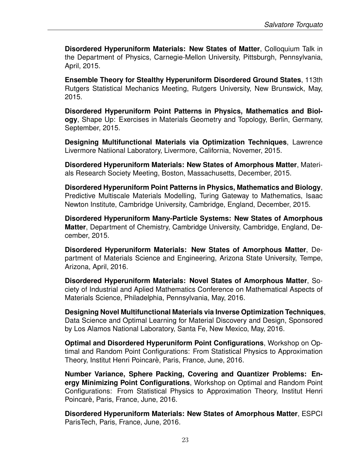**Disordered Hyperuniform Materials: New States of Matter**, Colloquium Talk in the Department of Physics, Carnegie-Mellon University, Pittsburgh, Pennsylvania, April, 2015.

**Ensemble Theory for Stealthy Hyperuniform Disordered Ground States**, 113th Rutgers Statistical Mechanics Meeting, Rutgers University, New Brunswick, May, 2015.

**Disordered Hyperuniform Point Patterns in Physics, Mathematics and Biology**, Shape Up: Exercises in Materials Geometry and Topology, Berlin, Germany, September, 2015.

**Designing Multifunctional Materials via Optimization Techniques**, Lawrence Livermore Natiional Laboratory, Livermore, California, Novemer, 2015.

**Disordered Hyperuniform Materials: New States of Amorphous Matter**, Materials Research Society Meeting, Boston, Massachusetts, December, 2015.

**Disordered Hyperuniform Point Patterns in Physics, Mathematics and Biology**, Predictive Multiscale Materials Modelling, Turing Gateway to Mathematics, Isaac Newton Institute, Cambridge University, Cambridge, England, December, 2015.

**Disordered Hyperuniform Many-Particle Systems: New States of Amorphous Matter**, Department of Chemistry, Cambridge University, Cambridge, England, December, 2015.

**Disordered Hyperuniform Materials: New States of Amorphous Matter**, Department of Materials Science and Engineering, Arizona State University, Tempe, Arizona, April, 2016.

**Disordered Hyperuniform Materials: Novel States of Amorphous Matter**, Society of Industrial and Aplied Mathematics Conference on Mathematical Aspects of Materials Science, Philadelphia, Pennsylvania, May, 2016.

**Designing Novel Multifunctional Materials via Inverse Optimization Techniques**, Data Science and Optimal Learning for Material Discovery and Design, Sponsored by Los Alamos National Laboratory, Santa Fe, New Mexico, May, 2016.

**Optimal and Disordered Hyperuniform Point Configurations**, Workshop on Optimal and Random Point Configurations: From Statistical Physics to Approximation Theory, Institut Henri Poincarè, Paris, France, June, 2016.

**Number Variance, Sphere Packing, Covering and Quantizer Problems: Energy Minimizing Point Configurations**, Workshop on Optimal and Random Point Configurations: From Statistical Physics to Approximation Theory, Institut Henri Poincarè, Paris, France, June, 2016.

**Disordered Hyperuniform Materials: New States of Amorphous Matter**, ESPCI ParisTech, Paris, France, June, 2016.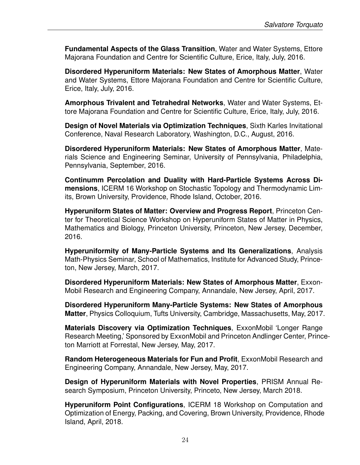**Fundamental Aspects of the Glass Transition**, Water and Water Systems, Ettore Majorana Foundation and Centre for Scientific Culture, Erice, Italy, July, 2016.

**Disordered Hyperuniform Materials: New States of Amorphous Matter**, Water and Water Systems, Ettore Majorana Foundation and Centre for Scientific Culture, Erice, Italy, July, 2016.

**Amorphous Trivalent and Tetrahedral Networks**, Water and Water Systems, Ettore Majorana Foundation and Centre for Scientific Culture, Erice, Italy, July, 2016.

**Design of Novel Materials via Optimization Techniques**, Sixth Karles Invitational Conference, Naval Research Laboratory, Washington, D.C., August, 2016.

**Disordered Hyperuniform Materials: New States of Amorphous Matter**, Materials Science and Engineering Seminar, University of Pennsylvania, Philadelphia, Pennsylvania, September, 2016.

**Continumm Percolation and Duality with Hard-Particle Systems Across Dimensions**, ICERM 16 Workshop on Stochastic Topology and Thermodynamic Limits, Brown University, Providence, Rhode Island, October, 2016.

**Hyperuniform States of Matter: Overview and Progress Report**, Princeton Center for Theoretical Science Workshop on Hyperuniform States of Matter in Physics, Mathematics and Biology, Princeton University, Princeton, New Jersey, December, 2016.

**Hyperuniformity of Many-Particle Systems and Its Generalizations**, Analysis Math-Physics Seminar, School of Mathematics, Institute for Advanced Study, Princeton, New Jersey, March, 2017.

**Disordered Hyperuniform Materials: New States of Amorphous Matter**, Exxon-Mobil Research and Engineering Company, Annandale, New Jersey, April, 2017.

**Disordered Hyperuniform Many-Particle Systems: New States of Amorphous Matter**, Physics Colloquium, Tufts University, Cambridge, Massachusetts, May, 2017.

**Materials Discovery via Optimization Techniques**, ExxonMobil 'Longer Range Research Meeting,' Sponsored by ExxonMobil and Princeton Andlinger Center, Princeton Marriott at Forrestal, New Jersey, May, 2017.

**Random Heterogeneous Materials for Fun and Profit**, ExxonMobil Research and Engineering Company, Annandale, New Jersey, May, 2017.

**Design of Hyperuniform Materials with Novel Properties**, PRISM Annual Research Symposium, Princeton University, Princeto, New Jersey, March 2018.

**Hyperuniform Point Configurations**, ICERM 18 Workshop on Computation and Optimization of Energy, Packing, and Covering, Brown University, Providence, Rhode Island, April, 2018.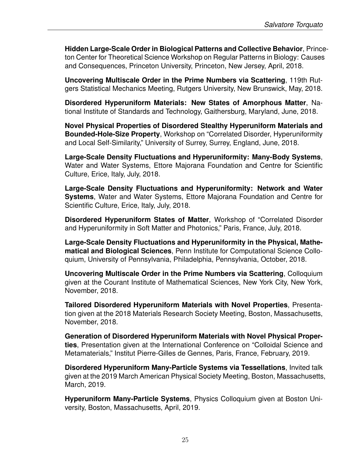**Hidden Large-Scale Order in Biological Patterns and Collective Behavior**, Princeton Center for Theoretical Science Workshop on Regular Patterns in Biology: Causes and Consequences, Princeton University, Princeton, New Jersey, April, 2018.

**Uncovering Multiscale Order in the Prime Numbers via Scattering**, 119th Rutgers Statistical Mechanics Meeting, Rutgers University, New Brunswick, May, 2018.

**Disordered Hyperuniform Materials: New States of Amorphous Matter**, National Institute of Standards and Technology, Gaithersburg, Maryland, June, 2018.

**Novel Physical Properties of Disordered Stealthy Hyperuniform Materials and Bounded-Hole-Size Property**, Workshop on "Correlated Disorder, Hyperuniformity and Local Self-Similarity," University of Surrey, Surrey, England, June, 2018.

**Large-Scale Density Fluctuations and Hyperuniformity: Many-Body Systems**, Water and Water Systems, Ettore Majorana Foundation and Centre for Scientific Culture, Erice, Italy, July, 2018.

**Large-Scale Density Fluctuations and Hyperuniformity: Network and Water Systems**, Water and Water Systems, Ettore Majorana Foundation and Centre for Scientific Culture, Erice, Italy, July, 2018.

**Disordered Hyperuniform States of Matter**, Workshop of "Correlated Disorder and Hyperuniformity in Soft Matter and Photonics," Paris, France, July, 2018.

**Large-Scale Density Fluctuations and Hyperuniformity in the Physical, Mathematical and Biological Sciences**, Penn Institute for Computational Science Colloquium, University of Pennsylvania, Philadelphia, Pennsylvania, October, 2018.

**Uncovering Multiscale Order in the Prime Numbers via Scattering**, Colloquium given at the Courant Institute of Mathematical Sciences, New York City, New York, November, 2018.

**Tailored Disordered Hyperuniform Materials with Novel Properties**, Presentation given at the 2018 Materials Research Society Meeting, Boston, Massachusetts, November, 2018.

**Generation of Disordered Hyperuniform Materials with Novel Physical Properties**, Presentation given at the International Conference on "Colloidal Science and Metamaterials," Institut Pierre-Gilles de Gennes, Paris, France, February, 2019.

**Disordered Hyperuniform Many-Particle Systems via Tessellations**, Invited talk given at the 2019 March American Physical Society Meeting, Boston, Massachusetts, March, 2019.

**Hyperuniform Many-Particle Systems**, Physics Colloquium given at Boston University, Boston, Massachusetts, April, 2019.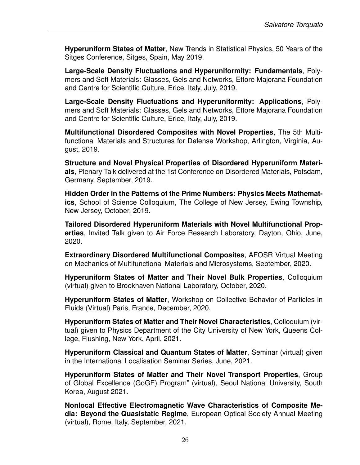**Hyperuniform States of Matter**, New Trends in Statistical Physics, 50 Years of the Sitges Conference, Sitges, Spain, May 2019.

**Large-Scale Density Fluctuations and Hyperuniformity: Fundamentals**, Polymers and Soft Materials: Glasses, Gels and Networks, Ettore Majorana Foundation and Centre for Scientific Culture, Erice, Italy, July, 2019.

**Large-Scale Density Fluctuations and Hyperuniformity: Applications**, Polymers and Soft Materials: Glasses, Gels and Networks, Ettore Majorana Foundation and Centre for Scientific Culture, Erice, Italy, July, 2019.

**Multifunctional Disordered Composites with Novel Properties**, The 5th Multifunctional Materials and Structures for Defense Workshop, Arlington, Virginia, August, 2019.

**Structure and Novel Physical Properties of Disordered Hyperuniform Materials**, Plenary Talk delivered at the 1st Conference on Disordered Materials, Potsdam, Germany, September, 2019.

**Hidden Order in the Patterns of the Prime Numbers: Physics Meets Mathematics**, School of Science Colloquium, The College of New Jersey, Ewing Township, New Jersey, October, 2019.

**Tailored Disordered Hyperuniform Materials with Novel Multifunctional Properties**, Invited Talk given to Air Force Research Laboratory, Dayton, Ohio, June, 2020.

**Extraordinary Disordered Multifunctional Composites**, AFOSR Virtual Meeting on Mechanics of Multifunctional Materials and Microsystems, September, 2020.

**Hyperuniform States of Matter and Their Novel Bulk Properties**, Colloquium (virtual) given to Brookhaven National Laboratory, October, 2020.

**Hyperuniform States of Matter**, Workshop on Collective Behavior of Particles in Fluids (Virtual) Paris, France, December, 2020.

**Hyperuniform States of Matter and Their Novel Characteristics**, Colloquium (virtual) given to Physics Department of the City University of New York, Queens College, Flushing, New York, April, 2021.

**Hyperuniform Classical and Quantum States of Matter**, Seminar (virtual) given in the International Localisation Seminar Series, June, 2021.

**Hyperuniform States of Matter and Their Novel Transport Properties**, Group of Global Excellence (GoGE) Program" (virtual), Seoul National University, South Korea, August 2021.

**Nonlocal Effective Electromagnetic Wave Characteristics of Composite Media: Beyond the Quasistatic Regime**, European Optical Society Annual Meeting (virtual), Rome, Italy, September, 2021.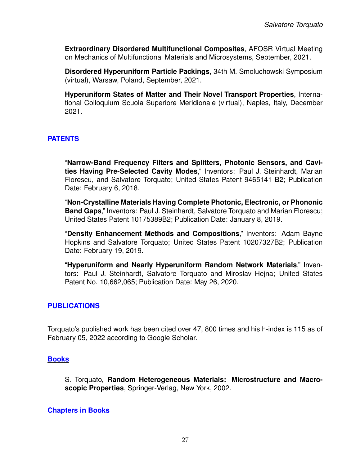**Extraordinary Disordered Multifunctional Composites**, AFOSR Virtual Meeting on Mechanics of Multifunctional Materials and Microsystems, September, 2021.

**Disordered Hyperuniform Particle Packings**, 34th M. Smoluchowski Symposium (virtual), Warsaw, Poland, September, 2021.

**Hyperuniform States of Matter and Their Novel Transport Properties**, International Colloquium Scuola Superiore Meridionale (virtual), Naples, Italy, December 2021.

## **PATENTS**

"**Narrow-Band Frequency Filters and Splitters, Photonic Sensors, and Cavities Having Pre-Selected Cavity Modes**," Inventors: Paul J. Steinhardt, Marian Florescu, and Salvatore Torquato; United States Patent 9465141 B2; Publication Date: February 6, 2018.

"**Non-Crystalline Materials Having Complete Photonic, Electronic, or Phononic Band Gaps**," Inventors: Paul J. Steinhardt, Salvatore Torquato and Marian Florescu; United States Patent 10175389B2; Publication Date: January 8, 2019.

"**Density Enhancement Methods and Compositions**," Inventors: Adam Bayne Hopkins and Salvatore Torquato; United States Patent 10207327B2; Publication Date: February 19, 2019.

"**Hyperuniform and Nearly Hyperuniform Random Network Materials**," Inventors: Paul J. Steinhardt, Salvatore Torquato and Miroslav Hejna; United States Patent No. 10,662,065; Publication Date: May 26, 2020.

# **PUBLICATIONS**

Torquato's published work has been cited over 47, 800 times and his h-index is 115 as of February 05, 2022 according to Google Scholar.

#### **Books**

S. Torquato, **Random Heterogeneous Materials: Microstructure and Macroscopic Properties**, Springer-Verlag, New York, 2002.

#### **Chapters in Books**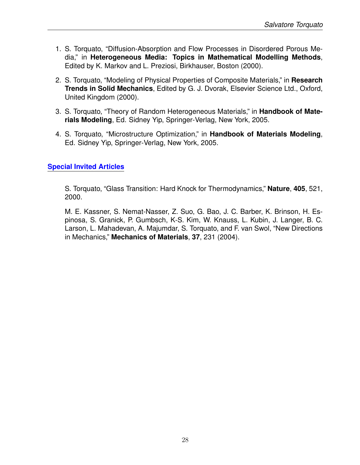- 1. S. Torquato, "Diffusion-Absorption and Flow Processes in Disordered Porous Media," in **Heterogeneous Media: Topics in Mathematical Modelling Methods**, Edited by K. Markov and L. Preziosi, Birkhauser, Boston (2000).
- 2. S. Torquato, "Modeling of Physical Properties of Composite Materials," in **Research Trends in Solid Mechanics**, Edited by G. J. Dvorak, Elsevier Science Ltd., Oxford, United Kingdom (2000).
- 3. S. Torquato, "Theory of Random Heterogeneous Materials," in **Handbook of Materials Modeling**, Ed. Sidney Yip, Springer-Verlag, New York, 2005.
- 4. S. Torquato, "Microstructure Optimization," in **Handbook of Materials Modeling**, Ed. Sidney Yip, Springer-Verlag, New York, 2005.

# **Special Invited Articles**

S. Torquato, "Glass Transition: Hard Knock for Thermodynamics," **Nature**, **405**, 521, 2000.

M. E. Kassner, S. Nemat-Nasser, Z. Suo, G. Bao, J. C. Barber, K. Brinson, H. Espinosa, S. Granick, P. Gumbsch, K-S. Kim, W. Knauss, L. Kubin, J. Langer, B. C. Larson, L. Mahadevan, A. Majumdar, S. Torquato, and F. van Swol, "New Directions in Mechanics," **Mechanics of Materials**, **37**, 231 (2004).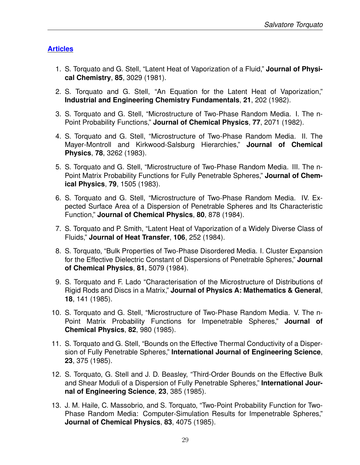# **Articles**

- 1. S. Torquato and G. Stell, "Latent Heat of Vaporization of a Fluid," **Journal of Physical Chemistry**, **85**, 3029 (1981).
- 2. S. Torquato and G. Stell, "An Equation for the Latent Heat of Vaporization," **Industrial and Engineering Chemistry Fundamentals**, **21**, 202 (1982).
- 3. S. Torquato and G. Stell, "Microstructure of Two-Phase Random Media. I. The n-Point Probability Functions," **Journal of Chemical Physics**, **77**, 2071 (1982).
- 4. S. Torquato and G. Stell, "Microstructure of Two-Phase Random Media. II. The Mayer-Montroll and Kirkwood-Salsburg Hierarchies," **Journal of Chemical Physics**, **78**, 3262 (1983).
- 5. S. Torquato and G. Stell, "Microstructure of Two-Phase Random Media. III. The n-Point Matrix Probability Functions for Fully Penetrable Spheres," **Journal of Chemical Physics**, **79**, 1505 (1983).
- 6. S. Torquato and G. Stell, "Microstructure of Two-Phase Random Media. IV. Expected Surface Area of a Dispersion of Penetrable Spheres and Its Characteristic Function," **Journal of Chemical Physics**, **80**, 878 (1984).
- 7. S. Torquato and P. Smith, "Latent Heat of Vaporization of a Widely Diverse Class of Fluids," **Journal of Heat Transfer**, **106**, 252 (1984).
- 8. S. Torquato, "Bulk Properties of Two-Phase Disordered Media. I. Cluster Expansion for the Effective Dielectric Constant of Dispersions of Penetrable Spheres," **Journal of Chemical Physics**, **81**, 5079 (1984).
- 9. S. Torquato and F. Lado "Characterisation of the Microstructure of Distributions of Rigid Rods and Discs in a Matrix," **Journal of Physics A: Mathematics & General**, **18**, 141 (1985).
- 10. S. Torquato and G. Stell, "Microstructure of Two-Phase Random Media. V. The n-Point Matrix Probability Functions for Impenetrable Spheres," **Journal of Chemical Physics**, **82**, 980 (1985).
- 11. S. Torquato and G. Stell, "Bounds on the Effective Thermal Conductivity of a Dispersion of Fully Penetrable Spheres," **International Journal of Engineering Science**, **23**, 375 (1985).
- 12. S. Torquato, G. Stell and J. D. Beasley, "Third-Order Bounds on the Effective Bulk and Shear Moduli of a Dispersion of Fully Penetrable Spheres," **International Journal of Engineering Science**, **23**, 385 (1985).
- 13. J. M. Haile, C. Massobrio, and S. Torquato, "Two-Point Probability Function for Two-Phase Random Media: Computer-Simulation Results for Impenetrable Spheres," **Journal of Chemical Physics**, **83**, 4075 (1985).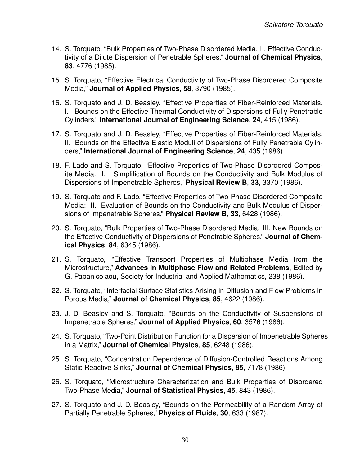- 14. S. Torquato, "Bulk Properties of Two-Phase Disordered Media. II. Effective Conductivity of a Dilute Dispersion of Penetrable Spheres," **Journal of Chemical Physics**, **83**, 4776 (1985).
- 15. S. Torquato, "Effective Electrical Conductivity of Two-Phase Disordered Composite Media," **Journal of Applied Physics**, **58**, 3790 (1985).
- 16. S. Torquato and J. D. Beasley, "Effective Properties of Fiber-Reinforced Materials. I. Bounds on the Effective Thermal Conductivity of Dispersions of Fully Penetrable Cylinders," **International Journal of Engineering Science**, **24**, 415 (1986).
- 17. S. Torquato and J. D. Beasley, "Effective Properties of Fiber-Reinforced Materials. II. Bounds on the Effective Elastic Moduli of Dispersions of Fully Penetrable Cylinders," **International Journal of Engineering Science**, **24**, 435 (1986).
- 18. F. Lado and S. Torquato, "Effective Properties of Two-Phase Disordered Composite Media. I. Simplification of Bounds on the Conductivity and Bulk Modulus of Dispersions of Impenetrable Spheres," **Physical Review B**, **33**, 3370 (1986).
- 19. S. Torquato and F. Lado, "Effective Properties of Two-Phase Disordered Composite Media: II. Evaluation of Bounds on the Conductivity and Bulk Modulus of Dispersions of Impenetrable Spheres," **Physical Review B**, **33**, 6428 (1986).
- 20. S. Torquato, "Bulk Properties of Two-Phase Disordered Media. III. New Bounds on the Effective Conductivity of Dispersions of Penetrable Spheres," **Journal of Chemical Physics**, **84**, 6345 (1986).
- 21. S. Torquato, "Effective Transport Properties of Multiphase Media from the Microstructure," **Advances in Multiphase Flow and Related Problems**, Edited by G. Papanicolaou, Society for Industrial and Applied Mathematics, 238 (1986).
- 22. S. Torquato, "Interfacial Surface Statistics Arising in Diffusion and Flow Problems in Porous Media," **Journal of Chemical Physics**, **85**, 4622 (1986).
- 23. J. D. Beasley and S. Torquato, "Bounds on the Conductivity of Suspensions of Impenetrable Spheres," **Journal of Applied Physics**, **60**, 3576 (1986).
- 24. S. Torquato, "Two-Point Distribution Function for a Dispersion of Impenetrable Spheres in a Matrix," **Journal of Chemical Physics**, **85**, 6248 (1986).
- 25. S. Torquato, "Concentration Dependence of Diffusion-Controlled Reactions Among Static Reactive Sinks," **Journal of Chemical Physics**, **85**, 7178 (1986).
- 26. S. Torquato, "Microstructure Characterization and Bulk Properties of Disordered Two-Phase Media," **Journal of Statistical Physics**, **45**, 843 (1986).
- 27. S. Torquato and J. D. Beasley, "Bounds on the Permeability of a Random Array of Partially Penetrable Spheres," **Physics of Fluids**, **30**, 633 (1987).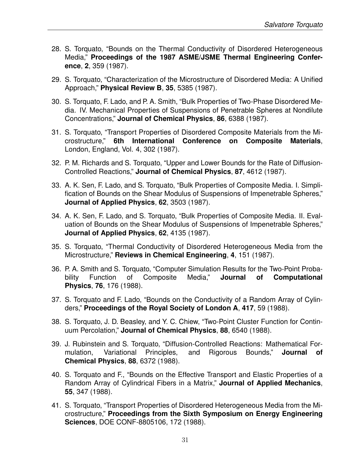- 28. S. Torquato, "Bounds on the Thermal Conductivity of Disordered Heterogeneous Media," **Proceedings of the 1987 ASME/JSME Thermal Engineering Conference**, **2**, 359 (1987).
- 29. S. Torquato, "Characterization of the Microstructure of Disordered Media: A Unified Approach," **Physical Review B**, **35**, 5385 (1987).
- 30. S. Torquato, F. Lado, and P. A. Smith, "Bulk Properties of Two-Phase Disordered Media. IV. Mechanical Properties of Suspensions of Penetrable Spheres at Nondilute Concentrations," **Journal of Chemical Physics**, **86**, 6388 (1987).
- 31. S. Torquato, "Transport Properties of Disordered Composite Materials from the Microstructure," **6th International Conference on Composite Materials**, London, England, Vol. 4, 302 (1987).
- 32. P. M. Richards and S. Torquato, "Upper and Lower Bounds for the Rate of Diffusion-Controlled Reactions," **Journal of Chemical Physics**, **87**, 4612 (1987).
- 33. A. K. Sen, F. Lado, and S. Torquato, "Bulk Properties of Composite Media. I. Simplification of Bounds on the Shear Modulus of Suspensions of Impenetrable Spheres," **Journal of Applied Physics**, **62**, 3503 (1987).
- 34. A. K. Sen, F. Lado, and S. Torquato, "Bulk Properties of Composite Media. II. Evaluation of Bounds on the Shear Modulus of Suspensions of Impenetrable Spheres," **Journal of Applied Physics**, **62**, 4135 (1987).
- 35. S. Torquato, "Thermal Conductivity of Disordered Heterogeneous Media from the Microstructure," **Reviews in Chemical Engineering**, **4**, 151 (1987).
- 36. P. A. Smith and S. Torquato, "Computer Simulation Results for the Two-Point Probability Function of Composite Media," **Journal of Computational Physics**, **76**, 176 (1988).
- 37. S. Torquato and F. Lado, "Bounds on the Conductivity of a Random Array of Cylinders," **Proceedings of the Royal Society of London A**, **417**, 59 (1988).
- 38. S. Torquato, J. D. Beasley, and Y. C. Chiew, "Two-Point Cluster Function for Continuum Percolation," **Journal of Chemical Physics**, **88**, 6540 (1988).
- 39. J. Rubinstein and S. Torquato, "Diffusion-Controlled Reactions: Mathematical Formulation, Variational Principles, and Rigorous Bounds," **Journal of Chemical Physics**, **88**, 6372 (1988).
- 40. S. Torquato and F., "Bounds on the Effective Transport and Elastic Properties of a Random Array of Cylindrical Fibers in a Matrix," **Journal of Applied Mechanics**, **55**, 347 (1988).
- 41. S. Torquato, "Transport Properties of Disordered Heterogeneous Media from the Microstructure," **Proceedings from the Sixth Symposium on Energy Engineering Sciences**, DOE CONF-8805106, 172 (1988).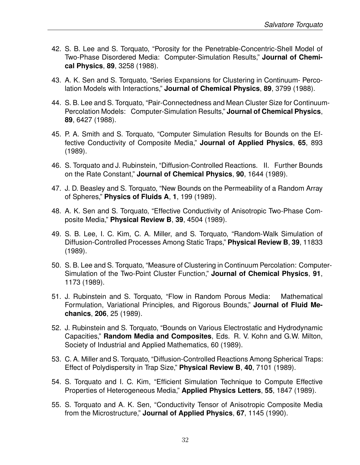- 42. S. B. Lee and S. Torquato, "Porosity for the Penetrable-Concentric-Shell Model of Two-Phase Disordered Media: Computer-Simulation Results," **Journal of Chemical Physics**, **89**, 3258 (1988).
- 43. A. K. Sen and S. Torquato, "Series Expansions for Clustering in Continuum- Percolation Models with Interactions," **Journal of Chemical Physics**, **89**, 3799 (1988).
- 44. S. B. Lee and S. Torquato, "Pair-Connectedness and Mean Cluster Size for Continuum-Percolation Models: Computer-Simulation Results," **Journal of Chemical Physics**, **89**, 6427 (1988).
- 45. P. A. Smith and S. Torquato, "Computer Simulation Results for Bounds on the Effective Conductivity of Composite Media," **Journal of Applied Physics**, **65**, 893 (1989).
- 46. S. Torquato and J. Rubinstein, "Diffusion-Controlled Reactions. II. Further Bounds on the Rate Constant," **Journal of Chemical Physics**, **90**, 1644 (1989).
- 47. J. D. Beasley and S. Torquato, "New Bounds on the Permeability of a Random Array of Spheres," **Physics of Fluids A**, **1**, 199 (1989).
- 48. A. K. Sen and S. Torquato, "Effective Conductivity of Anisotropic Two-Phase Composite Media," **Physical Review B**, **39**, 4504 (1989).
- 49. S. B. Lee, I. C. Kim, C. A. Miller, and S. Torquato, "Random-Walk Simulation of Diffusion-Controlled Processes Among Static Traps," **Physical Review B**, **39**, 11833 (1989).
- 50. S. B. Lee and S. Torquato, "Measure of Clustering in Continuum Percolation: Computer-Simulation of the Two-Point Cluster Function," **Journal of Chemical Physics**, **91**, 1173 (1989).
- 51. J. Rubinstein and S. Torquato, "Flow in Random Porous Media: Mathematical Formulation, Variational Principles, and Rigorous Bounds," **Journal of Fluid Mechanics**, **206**, 25 (1989).
- 52. J. Rubinstein and S. Torquato, "Bounds on Various Electrostatic and Hydrodynamic Capacities," **Random Media and Composites**, Eds. R. V. Kohn and G.W. Milton, Society of Industrial and Applied Mathematics, 60 (1989).
- 53. C. A. Miller and S. Torquato, "Diffusion-Controlled Reactions Among Spherical Traps: Effect of Polydispersity in Trap Size," **Physical Review B**, **40**, 7101 (1989).
- 54. S. Torquato and I. C. Kim, "Efficient Simulation Technique to Compute Effective Properties of Heterogeneous Media," **Applied Physics Letters**, **55**, 1847 (1989).
- 55. S. Torquato and A. K. Sen, "Conductivity Tensor of Anisotropic Composite Media from the Microstructure," **Journal of Applied Physics**, **67**, 1145 (1990).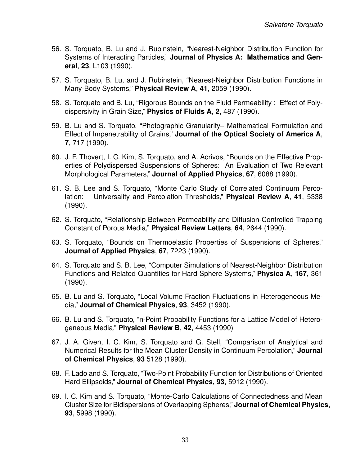- 56. S. Torquato, B. Lu and J. Rubinstein, "Nearest-Neighbor Distribution Function for Systems of Interacting Particles," **Journal of Physics A: Mathematics and General**, **23**, L103 (1990).
- 57. S. Torquato, B. Lu, and J. Rubinstein, "Nearest-Neighbor Distribution Functions in Many-Body Systems," **Physical Review A**, **41**, 2059 (1990).
- 58. S. Torquato and B. Lu, "Rigorous Bounds on the Fluid Permeability : Effect of Polydispersivity in Grain Size," **Physics of Fluids A**, **2**, 487 (1990).
- 59. B. Lu and S. Torquato, "Photographic Granularity– Mathematical Formulation and Effect of Impenetrability of Grains," **Journal of the Optical Society of America A**, **7**, 717 (1990).
- 60. J. F. Thovert, I. C. Kim, S. Torquato, and A. Acrivos, "Bounds on the Effective Properties of Polydispersed Suspensions of Spheres: An Evaluation of Two Relevant Morphological Parameters," **Journal of Applied Physics**, **67**, 6088 (1990).
- 61. S. B. Lee and S. Torquato, "Monte Carlo Study of Correlated Continuum Percolation: Universality and Percolation Thresholds," **Physical Review A**, **41**, 5338 (1990).
- 62. S. Torquato, "Relationship Between Permeability and Diffusion-Controlled Trapping Constant of Porous Media," **Physical Review Letters**, **64**, 2644 (1990).
- 63. S. Torquato, "Bounds on Thermoelastic Properties of Suspensions of Spheres," **Journal of Applied Physics**, **67**, 7223 (1990).
- 64. S. Torquato and S. B. Lee, "Computer Simulations of Nearest-Neighbor Distribution Functions and Related Quantities for Hard-Sphere Systems," **Physica A**, **167**, 361 (1990).
- 65. B. Lu and S. Torquato, "Local Volume Fraction Fluctuations in Heterogeneous Media," **Journal of Chemical Physics**, **93**, 3452 (1990).
- 66. B. Lu and S. Torquato, "n-Point Probability Functions for a Lattice Model of Heterogeneous Media," **Physical Review B**, **42**, 4453 (1990)
- 67. J. A. Given, I. C. Kim, S. Torquato and G. Stell, "Comparison of Analytical and Numerical Results for the Mean Cluster Density in Continuum Percolation," **Journal of Chemical Physics**, **93** 5128 (1990).
- 68. F. Lado and S. Torquato, "Two-Point Probability Function for Distributions of Oriented Hard Ellipsoids," **Journal of Chemical Physics, 93**, 5912 (1990).
- 69. I. C. Kim and S. Torquato, "Monte-Carlo Calculations of Connectedness and Mean Cluster Size for Bidispersions of Overlapping Spheres," **Journal of Chemical Physics**, **93**, 5998 (1990).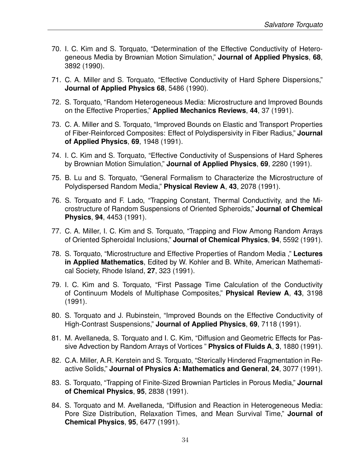- 70. I. C. Kim and S. Torquato, "Determination of the Effective Conductivity of Heterogeneous Media by Brownian Motion Simulation," **Journal of Applied Physics**, **68**, 3892 (1990).
- 71. C. A. Miller and S. Torquato, "Effective Conductivity of Hard Sphere Dispersions," **Journal of Applied Physics 68**, 5486 (1990).
- 72. S. Torquato, "Random Heterogeneous Media: Microstructure and Improved Bounds on the Effective Properties," **Applied Mechanics Reviews**, **44**, 37 (1991).
- 73. C. A. Miller and S. Torquato, "Improved Bounds on Elastic and Transport Properties of Fiber-Reinforced Composites: Effect of Polydispersivity in Fiber Radius," **Journal of Applied Physics**, **69**, 1948 (1991).
- 74. I. C. Kim and S. Torquato, "Effective Conductivity of Suspensions of Hard Spheres by Brownian Motion Simulation," **Journal of Applied Physics**, **69**, 2280 (1991).
- 75. B. Lu and S. Torquato, "General Formalism to Characterize the Microstructure of Polydispersed Random Media," **Physical Review A**, **43**, 2078 (1991).
- 76. S. Torquato and F. Lado, "Trapping Constant, Thermal Conductivity, and the Microstructure of Random Suspensions of Oriented Spheroids," **Journal of Chemical Physics**, **94**, 4453 (1991).
- 77. C. A. Miller, I. C. Kim and S. Torquato, "Trapping and Flow Among Random Arrays of Oriented Spheroidal Inclusions," **Journal of Chemical Physics**, **94**, 5592 (1991).
- 78. S. Torquato, "Microstructure and Effective Properties of Random Media ," **Lectures in Applied Mathematics**, Edited by W. Kohler and B. White, American Mathematical Society, Rhode Island, **27**, 323 (1991).
- 79. I. C. Kim and S. Torquato, "First Passage Time Calculation of the Conductivity of Continuum Models of Multiphase Composites," **Physical Review A**, **43**, 3198 (1991).
- 80. S. Torquato and J. Rubinstein, "Improved Bounds on the Effective Conductivity of High-Contrast Suspensions," **Journal of Applied Physics**, **69**, 7118 (1991).
- 81. M. Avellaneda, S. Torquato and I. C. Kim, "Diffusion and Geometric Effects for Passive Advection by Random Arrays of Vortices " **Physics of Fluids A**, **3**, 1880 (1991).
- 82. C.A. Miller, A.R. Kerstein and S. Torquato, "Sterically Hindered Fragmentation in Reactive Solids," **Journal of Physics A: Mathematics and General**, **24**, 3077 (1991).
- 83. S. Torquato, "Trapping of Finite-Sized Brownian Particles in Porous Media," **Journal of Chemical Physics**, **95**, 2838 (1991).
- 84. S. Torquato and M. Avellaneda, "Diffusion and Reaction in Heterogeneous Media: Pore Size Distribution, Relaxation Times, and Mean Survival Time," **Journal of Chemical Physics**, **95**, 6477 (1991).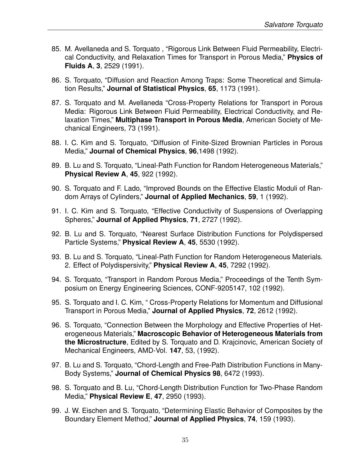- 85. M. Avellaneda and S. Torquato , "Rigorous Link Between Fluid Permeability, Electrical Conductivity, and Relaxation Times for Transport in Porous Media," **Physics of Fluids A**, **3**, 2529 (1991).
- 86. S. Torquato, "Diffusion and Reaction Among Traps: Some Theoretical and Simulation Results," **Journal of Statistical Physics**, **65**, 1173 (1991).
- 87. S. Torquato and M. Avellaneda "Cross-Property Relations for Transport in Porous Media: Rigorous Link Between Fluid Permeability, Electrical Conductivity, and Relaxation Times," **Multiphase Transport in Porous Media**, American Society of Mechanical Engineers, 73 (1991).
- 88. I. C. Kim and S. Torquato, "Diffusion of Finite-Sized Brownian Particles in Porous Media," **Journal of Chemical Physics**, **96**,1498 (1992).
- 89. B. Lu and S. Torquato, "Lineal-Path Function for Random Heterogeneous Materials," **Physical Review A**, **45**, 922 (1992).
- 90. S. Torquato and F. Lado, "Improved Bounds on the Effective Elastic Moduli of Random Arrays of Cylinders," **Journal of Applied Mechanics**, **59**, 1 (1992).
- 91. I. C. Kim and S. Torquato, "Effective Conductivity of Suspensions of Overlapping Spheres," **Journal of Applied Physics**, **71**, 2727 (1992).
- 92. B. Lu and S. Torquato, "Nearest Surface Distribution Functions for Polydispersed Particle Systems," **Physical Review A**, **45**, 5530 (1992).
- 93. B. Lu and S. Torquato, "Lineal-Path Function for Random Heterogeneous Materials. 2. Effect of Polydispersivity," **Physical Review A**, **45**, 7292 (1992).
- 94. S. Torquato, "Transport in Random Porous Media," Proceedings of the Tenth Symposium on Energy Engineering Sciences, CONF-9205147, 102 (1992).
- 95. S. Torquato and I. C. Kim, " Cross-Property Relations for Momentum and Diffusional Transport in Porous Media," **Journal of Applied Physics**, **72**, 2612 (1992).
- 96. S. Torquato, "Connection Between the Morphology and Effective Properties of Heterogeneous Materials," **Macroscopic Behavior of Heterogeneous Materials from the Microstructure**, Edited by S. Torquato and D. Krajcinovic, American Society of Mechanical Engineers, AMD-Vol. **147**, 53, (1992).
- 97. B. Lu and S. Torquato, "Chord-Length and Free-Path Distribution Functions in Many-Body Systems," **Journal of Chemical Physics 98**, 6472 (1993).
- 98. S. Torquato and B. Lu, "Chord-Length Distribution Function for Two-Phase Random Media," **Physical Review E**, **47**, 2950 (1993).
- 99. J. W. Eischen and S. Torquato, "Determining Elastic Behavior of Composites by the Boundary Element Method," **Journal of Applied Physics**, **74**, 159 (1993).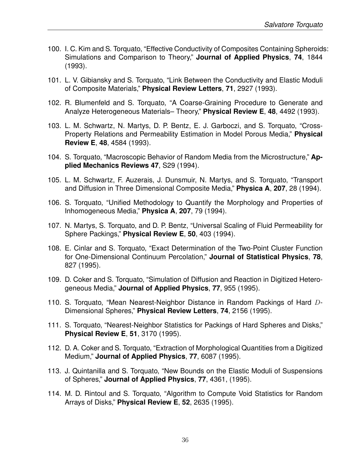- 100. I. C. Kim and S. Torquato, "Effective Conductivity of Composites Containing Spheroids: Simulations and Comparison to Theory," **Journal of Applied Physics**, **74**, 1844 (1993).
- 101. L. V. Gibiansky and S. Torquato, "Link Between the Conductivity and Elastic Moduli of Composite Materials," **Physical Review Letters**, **71**, 2927 (1993).
- 102. R. Blumenfeld and S. Torquato, "A Coarse-Graining Procedure to Generate and Analyze Heterogeneous Materials– Theory," **Physical Review E**, **48**, 4492 (1993).
- 103. L. M. Schwartz, N. Martys, D. P. Bentz, E. J. Garboczi, and S. Torquato, "Cross-Property Relations and Permeability Estimation in Model Porous Media," **Physical Review E**, **48**, 4584 (1993).
- 104. S. Torquato, "Macroscopic Behavior of Random Media from the Microstructure," **Applied Mechanics Reviews 47**, S29 (1994).
- 105. L. M. Schwartz, F. Auzerais, J. Dunsmuir, N. Martys, and S. Torquato, "Transport and Diffusion in Three Dimensional Composite Media," **Physica A**, **207**, 28 (1994).
- 106. S. Torquato, "Unified Methodology to Quantify the Morphology and Properties of Inhomogeneous Media," **Physica A**, **207**, 79 (1994).
- 107. N. Martys, S. Torquato, and D. P. Bentz, "Universal Scaling of Fluid Permeability for Sphere Packings," **Physical Review E**, **50**, 403 (1994).
- 108. E. Cinlar and S. Torquato, "Exact Determination of the Two-Point Cluster Function for One-Dimensional Continuum Percolation," **Journal of Statistical Physics**, **78**, 827 (1995).
- 109. D. Coker and S. Torquato, "Simulation of Diffusion and Reaction in Digitized Heterogeneous Media," **Journal of Applied Physics**, **77**, 955 (1995).
- 110. S. Torquato, "Mean Nearest-Neighbor Distance in Random Packings of Hard D-Dimensional Spheres," **Physical Review Letters**, **74**, 2156 (1995).
- 111. S. Torquato, "Nearest-Neighbor Statistics for Packings of Hard Spheres and Disks," **Physical Review E**, **51**, 3170 (1995).
- 112. D. A. Coker and S. Torquato, "Extraction of Morphological Quantities from a Digitized Medium," **Journal of Applied Physics**, **77**, 6087 (1995).
- 113. J. Quintanilla and S. Torquato, "New Bounds on the Elastic Moduli of Suspensions of Spheres," **Journal of Applied Physics**, **77**, 4361, (1995).
- 114. M. D. Rintoul and S. Torquato, "Algorithm to Compute Void Statistics for Random Arrays of Disks," **Physical Review E**, **52**, 2635 (1995).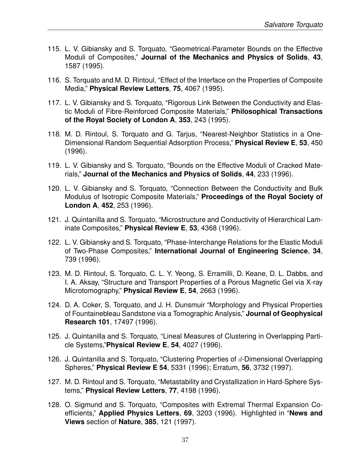- 115. L. V. Gibiansky and S. Torquato, "Geometrical-Parameter Bounds on the Effective Moduli of Composites," **Journal of the Mechanics and Physics of Solids**, **43**, 1587 (1995).
- 116. S. Torquato and M. D. Rintoul, "Effect of the Interface on the Properties of Composite Media," **Physical Review Letters**, **75**, 4067 (1995).
- 117. L. V. Gibiansky and S. Torquato, "Rigorous Link Between the Conductivity and Elastic Moduli of Fibre-Reinforced Composite Materials," **Philosophical Transactions of the Royal Society of London A**, **353**, 243 (1995).
- 118. M. D. Rintoul, S. Torquato and G. Tarjus, "Nearest-Neighbor Statistics in a One-Dimensional Random Sequential Adsorption Process," **Physical Review E**, **53**, 450 (1996).
- 119. L. V. Gibiansky and S. Torquato, "Bounds on the Effective Moduli of Cracked Materials," **Journal of the Mechanics and Physics of Solids**, **44**, 233 (1996).
- 120. L. V. Gibiansky and S. Torquato, "Connection Between the Conductivity and Bulk Modulus of Isotropic Composite Materials," **Proceedings of the Royal Society of London A**, **452**, 253 (1996).
- 121. J. Quintanilla and S. Torquato, "Microstructure and Conductivity of Hierarchical Laminate Composites," **Physical Review E**, **53**, 4368 (1996).
- 122. L. V. Gibiansky and S. Torquato, "Phase-Interchange Relations for the Elastic Moduli of Two-Phase Composites," **International Journal of Engineering Science**, **34**, 739 (1996).
- 123. M. D. Rintoul, S. Torquato, C. L. Y. Yeong, S. Erramilli, D. Keane, D. L. Dabbs, and I. A. Aksay, "Structure and Transport Properties of a Porous Magnetic Gel via X-ray Microtomography," **Physical Review E**, **54**, 2663 (1996).
- 124. D. A. Coker, S. Torquato, and J. H. Dunsmuir "Morphology and Physical Properties of Fountainebleau Sandstone via a Tomographic Analysis," **Journal of Geophysical Research 101**, 17497 (1996).
- 125. J. Quintanilla and S. Torquato, "Lineal Measures of Clustering in Overlapping Particle Systems,"**Physical Review E**, **54**, 4027 (1996).
- 126. J. Quintanilla and S. Torquato, "Clustering Properties of  $d$ -Dimensional Overlapping Spheres," **Physical Review E 54**, 5331 (1996); Erratum, **56**, 3732 (1997).
- 127. M. D. Rintoul and S. Torquato, "Metastability and Crystallization in Hard-Sphere Systems," **Physical Review Letters**, **77**, 4198 (1996).
- 128. O. Sigmund and S. Torquato, "Composites with Extremal Thermal Expansion Coefficients," **Applied Physics Letters**, **69**, 3203 (1996). Highlighted in "**News and Views** section of **Nature**, **385**, 121 (1997).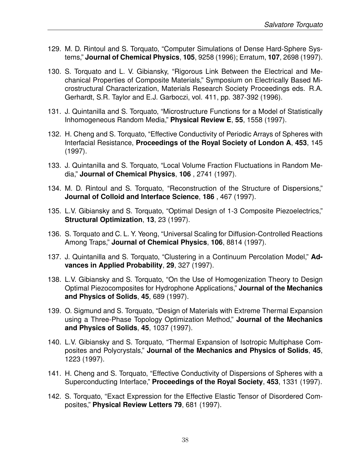- 129. M. D. Rintoul and S. Torquato, "Computer Simulations of Dense Hard-Sphere Systems," **Journal of Chemical Physics**, **105**, 9258 (1996); Erratum, **107**, 2698 (1997).
- 130. S. Torquato and L. V. Gibiansky, "Rigorous Link Between the Electrical and Mechanical Properties of Composite Materials," Symposium on Electrically Based Microstructural Characterization, Materials Research Society Proceedings eds. R.A. Gerhardt, S.R. Taylor and E.J. Garboczi, vol. 411, pp. 387-392 (1996).
- 131. J. Quintanilla and S. Torquato, "Microstructure Functions for a Model of Statistically Inhomogeneous Random Media," **Physical Review E**, **55**, 1558 (1997).
- 132. H. Cheng and S. Torquato, "Effective Conductivity of Periodic Arrays of Spheres with Interfacial Resistance, **Proceedings of the Royal Society of London A**, **453**, 145 (1997).
- 133. J. Quintanilla and S. Torquato, "Local Volume Fraction Fluctuations in Random Media," **Journal of Chemical Physics**, **106** , 2741 (1997).
- 134. M. D. Rintoul and S. Torquato, "Reconstruction of the Structure of Dispersions," **Journal of Colloid and Interface Science**, **186** , 467 (1997).
- 135. L.V. Gibiansky and S. Torquato, "Optimal Design of 1-3 Composite Piezoelectrics," **Structural Optimization**, **13**, 23 (1997).
- 136. S. Torquato and C. L. Y. Yeong, "Universal Scaling for Diffusion-Controlled Reactions Among Traps," **Journal of Chemical Physics**, **106**, 8814 (1997).
- 137. J. Quintanilla and S. Torquato, "Clustering in a Continuum Percolation Model," **Advances in Applied Probability**, **29**, 327 (1997).
- 138. L.V. Gibiansky and S. Torquato, "On the Use of Homogenization Theory to Design Optimal Piezocomposites for Hydrophone Applications," **Journal of the Mechanics and Physics of Solids**, **45**, 689 (1997).
- 139. O. Sigmund and S. Torquato, "Design of Materials with Extreme Thermal Expansion using a Three-Phase Topology Optimization Method," **Journal of the Mechanics and Physics of Solids**, **45**, 1037 (1997).
- 140. L.V. Gibiansky and S. Torquato, "Thermal Expansion of Isotropic Multiphase Composites and Polycrystals," **Journal of the Mechanics and Physics of Solids**, **45**, 1223 (1997).
- 141. H. Cheng and S. Torquato, "Effective Conductivity of Dispersions of Spheres with a Superconducting Interface," **Proceedings of the Royal Society**, **453**, 1331 (1997).
- 142. S. Torquato, "Exact Expression for the Effective Elastic Tensor of Disordered Composites," **Physical Review Letters 79**, 681 (1997).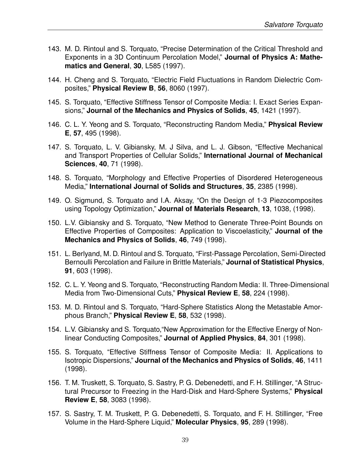- 143. M. D. Rintoul and S. Torquato, "Precise Determination of the Critical Threshold and Exponents in a 3D Continuum Percolation Model," **Journal of Physics A: Mathematics and General**, **30**, L585 (1997).
- 144. H. Cheng and S. Torquato, "Electric Field Fluctuations in Random Dielectric Composites," **Physical Review B**, **56**, 8060 (1997).
- 145. S. Torquato, "Effective Stiffness Tensor of Composite Media: I. Exact Series Expansions," **Journal of the Mechanics and Physics of Solids**, **45**, 1421 (1997).
- 146. C. L. Y. Yeong and S. Torquato, "Reconstructing Random Media," **Physical Review E**, **57**, 495 (1998).
- 147. S. Torquato, L. V. Gibiansky, M. J Silva, and L. J. Gibson, "Effective Mechanical and Transport Properties of Cellular Solids," **International Journal of Mechanical Sciences**, **40**, 71 (1998).
- 148. S. Torquato, "Morphology and Effective Properties of Disordered Heterogeneous Media," **International Journal of Solids and Structures**, **35**, 2385 (1998).
- 149. O. Sigmund, S. Torquato and I.A. Aksay, "On the Design of 1-3 Piezocomposites using Topology Optimization," **Journal of Materials Research**, **13**, 1038, (1998).
- 150. L.V. Gibiansky and S. Torquato, "New Method to Generate Three-Point Bounds on Effective Properties of Composites: Application to Viscoelasticity," **Journal of the Mechanics and Physics of Solids**, **46**, 749 (1998).
- 151. L. Berlyand, M. D. Rintoul and S. Torquato, "First-Passage Percolation, Semi-Directed Bernoulli Percolation and Failure in Brittle Materials," **Journal of Statistical Physics**, **91**, 603 (1998).
- 152. C. L. Y. Yeong and S. Torquato, "Reconstructing Random Media: II. Three-Dimensional Media from Two-Dimensional Cuts," **Physical Review E**, **58**, 224 (1998).
- 153. M. D. Rintoul and S. Torquato, "Hard-Sphere Statistics Along the Metastable Amorphous Branch," **Physical Review E**, **58**, 532 (1998).
- 154. L.V. Gibiansky and S. Torquato,"New Approximation for the Effective Energy of Nonlinear Conducting Composites," **Journal of Applied Physics**, **84**, 301 (1998).
- 155. S. Torquato, "Effective Stiffness Tensor of Composite Media: II. Applications to Isotropic Dispersions," **Journal of the Mechanics and Physics of Solids**, **46**, 1411 (1998).
- 156. T. M. Truskett, S. Torquato, S. Sastry, P. G. Debenedetti, and F. H. Stillinger, "A Structural Precursor to Freezing in the Hard-Disk and Hard-Sphere Systems," **Physical Review E**, **58**, 3083 (1998).
- 157. S. Sastry, T. M. Truskett, P. G. Debenedetti, S. Torquato, and F. H. Stillinger, "Free Volume in the Hard-Sphere Liquid," **Molecular Physics**, **95**, 289 (1998).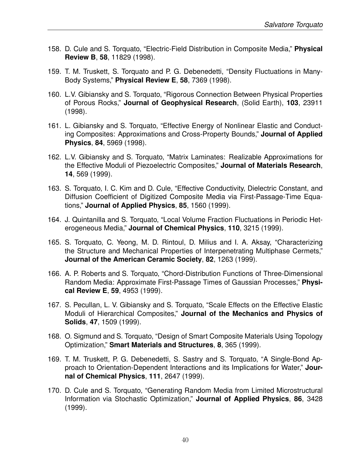- 158. D. Cule and S. Torquato, "Electric-Field Distribution in Composite Media," **Physical Review B**, **58**, 11829 (1998).
- 159. T. M. Truskett, S. Torquato and P. G. Debenedetti, "Density Fluctuations in Many-Body Systems," **Physical Review E**, **58**, 7369 (1998).
- 160. L.V. Gibiansky and S. Torquato, "Rigorous Connection Between Physical Properties of Porous Rocks," **Journal of Geophysical Research**, (Solid Earth), **103**, 23911 (1998).
- 161. L. Gibiansky and S. Torquato, "Effective Energy of Nonlinear Elastic and Conducting Composites: Approximations and Cross-Property Bounds," **Journal of Applied Physics**, **84**, 5969 (1998).
- 162. L.V. Gibiansky and S. Torquato, "Matrix Laminates: Realizable Approximations for the Effective Moduli of Piezoelectric Composites," **Journal of Materials Research**, **14**, 569 (1999).
- 163. S. Torquato, I. C. Kim and D. Cule, "Effective Conductivity, Dielectric Constant, and Diffusion Coefficient of Digitized Composite Media via First-Passage-Time Equations," **Journal of Applied Physics**, **85**, 1560 (1999).
- 164. J. Quintanilla and S. Torquato, "Local Volume Fraction Fluctuations in Periodic Heterogeneous Media," **Journal of Chemical Physics**, **110**, 3215 (1999).
- 165. S. Torquato, C. Yeong, M. D. Rintoul, D. Milius and I. A. Aksay, "Characterizing the Structure and Mechanical Properties of Interpenetrating Multiphase Cermets," **Journal of the American Ceramic Society**, **82**, 1263 (1999).
- 166. A. P. Roberts and S. Torquato, "Chord-Distribution Functions of Three-Dimensional Random Media: Approximate First-Passage Times of Gaussian Processes," **Physical Review E**, **59**, 4953 (1999).
- 167. S. Pecullan, L. V. Gibiansky and S. Torquato, "Scale Effects on the Effective Elastic Moduli of Hierarchical Composites," **Journal of the Mechanics and Physics of Solids**, **47**, 1509 (1999).
- 168. O. Sigmund and S. Torquato, "Design of Smart Composite Materials Using Topology Optimization," **Smart Materials and Structures**, **8**, 365 (1999).
- 169. T. M. Truskett, P. G. Debenedetti, S. Sastry and S. Torquato, "A Single-Bond Approach to Orientation-Dependent Interactions and its Implications for Water," **Journal of Chemical Physics**, **111**, 2647 (1999).
- 170. D. Cule and S. Torquato, "Generating Random Media from Limited Microstructural Information via Stochastic Optimization," **Journal of Applied Physics**, **86**, 3428 (1999).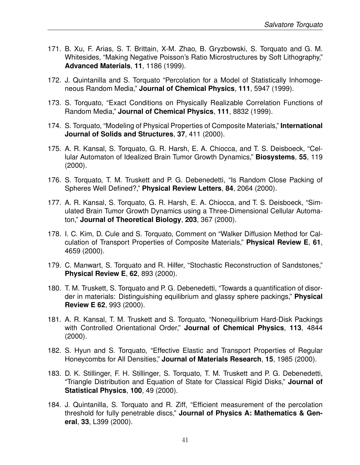- 171. B. Xu, F. Arias, S. T. Brittain, X-M. Zhao, B. Gryzbowski, S. Torquato and G. M. Whitesides, "Making Negative Poisson's Ratio Microstructures by Soft Lithography," **Advanced Materials**, **11**, 1186 (1999).
- 172. J. Quintanilla and S. Torquato "Percolation for a Model of Statistically Inhomogeneous Random Media," **Journal of Chemical Physics**, **111**, 5947 (1999).
- 173. S. Torquato, "Exact Conditions on Physically Realizable Correlation Functions of Random Media," **Journal of Chemical Physics**, **111**, 8832 (1999).
- 174. S. Torquato, "Modeling of Physical Properties of Composite Materials," **International Journal of Solids and Structures**, **37**, 411 (2000).
- 175. A. R. Kansal, S. Torquato, G. R. Harsh, E. A. Chiocca, and T. S. Deisboeck, "Cellular Automaton of Idealized Brain Tumor Growth Dynamics," **Biosystems**, **55**, 119 (2000).
- 176. S. Torquato, T. M. Truskett and P. G. Debenedetti, "Is Random Close Packing of Spheres Well Defined?," **Physical Review Letters**, **84**, 2064 (2000).
- 177. A. R. Kansal, S. Torquato, G. R. Harsh, E. A. Chiocca, and T. S. Deisboeck, "Simulated Brain Tumor Growth Dynamics using a Three-Dimensional Cellular Automaton," **Journal of Theoretical Biology**, **203**, 367 (2000).
- 178. I. C. Kim, D. Cule and S. Torquato, Comment on "Walker Diffusion Method for Calculation of Transport Properties of Composite Materials," **Physical Review E**, **61**, 4659 (2000).
- 179. C. Manwart, S. Torquato and R. Hilfer, "Stochastic Reconstruction of Sandstones," **Physical Review E**, **62**, 893 (2000).
- 180. T. M. Truskett, S. Torquato and P. G. Debenedetti, "Towards a quantification of disorder in materials: Distinguishing equilibrium and glassy sphere packings," **Physical Review E 62**, 993 (2000).
- 181. A. R. Kansal, T. M. Truskett and S. Torquato, "Nonequilibrium Hard-Disk Packings with Controlled Orientational Order," **Journal of Chemical Physics**, **113**, 4844 (2000).
- 182. S. Hyun and S. Torquato, "Effective Elastic and Transport Properties of Regular Honeycombs for All Densities," **Journal of Materials Research**, **15**, 1985 (2000).
- 183. D. K. Stillinger, F. H. Stillinger, S. Torquato, T. M. Truskett and P. G. Debenedetti, "Triangle Distribution and Equation of State for Classical Rigid Disks," **Journal of Statistical Physics**, **100**, 49 (2000).
- 184. J. Quintanilla, S. Torquato and R. Ziff, "Efficient measurement of the percolation threshold for fully penetrable discs," **Journal of Physics A: Mathematics & General**, **33**, L399 (2000).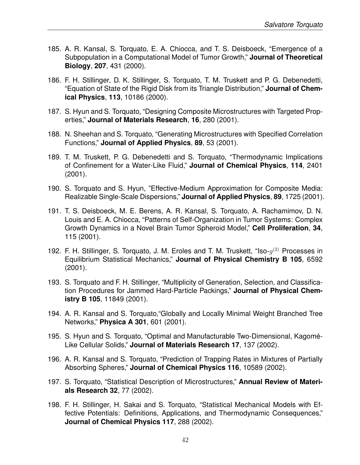- 185. A. R. Kansal, S. Torquato, E. A. Chiocca, and T. S. Deisboeck, "Emergence of a Subpopulation in a Computational Model of Tumor Growth," **Journal of Theoretical Biology**, **207**, 431 (2000).
- 186. F. H. Stillinger, D. K. Stillinger, S. Torquato, T. M. Truskett and P. G. Debenedetti, "Equation of State of the Rigid Disk from its Triangle Distribution," **Journal of Chemical Physics**, **113**, 10186 (2000).
- 187. S. Hyun and S. Torquato, "Designing Composite Microstructures with Targeted Properties," **Journal of Materials Research**, **16**, 280 (2001).
- 188. N. Sheehan and S. Torquato, "Generating Microstructures with Specified Correlation Functions," **Journal of Applied Physics**, **89**, 53 (2001).
- 189. T. M. Truskett, P. G. Debenedetti and S. Torquato, "Thermodynamic Implications of Confinement for a Water-Like Fluid," **Journal of Chemical Physics**, **114**, 2401 (2001).
- 190. S. Torquato and S. Hyun, "Effective-Medium Approximation for Composite Media: Realizable Single-Scale Dispersions," **Journal of Applied Physics**, **89**, 1725 (2001).
- 191. T. S. Deisboeck, M. E. Berens, A. R. Kansal, S. Torquato, A. Rachamimov, D. N. Louis and E. A. Chiocca, "Patterns of Self-Organization in Tumor Systems: Complex Growth Dynamics in a Novel Brain Tumor Spheroid Model," **Cell Proliferation**, **34**, 115 (2001).
- 192. F. H. Stillinger, S. Torquato, J. M. Eroles and T. M. Truskett, "Iso- $g^{(2)}$  Processes in Equilibrium Statistical Mechanics," **Journal of Physical Chemistry B 105**, 6592 (2001).
- 193. S. Torquato and F. H. Stillinger, "Multiplicity of Generation, Selection, and Classification Procedures for Jammed Hard-Particle Packings," **Journal of Physical Chemistry B 105**, 11849 (2001).
- 194. A. R. Kansal and S. Torquato,"Globally and Locally Minimal Weight Branched Tree Networks," **Physica A 301**, 601 (2001).
- 195. S. Hyun and S. Torquato, "Optimal and Manufacturable Two-Dimensional, Kagome-´ Like Cellular Solids," **Journal of Materials Research 17**, 137 (2002).
- 196. A. R. Kansal and S. Torquato, "Prediction of Trapping Rates in Mixtures of Partially Absorbing Spheres," **Journal of Chemical Physics 116**, 10589 (2002).
- 197. S. Torquato, "Statistical Description of Microstructures," **Annual Review of Materials Research 32**, 77 (2002).
- 198. F. H. Stillinger, H. Sakai and S. Torquato, "Statistical Mechanical Models with Effective Potentials: Definitions, Applications, and Thermodynamic Consequences," **Journal of Chemical Physics 117**, 288 (2002).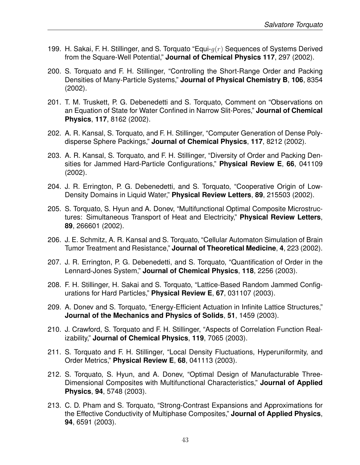- 199. H. Sakai, F. H. Stillinger, and S. Torquato "Equi- $q(r)$  Sequences of Systems Derived from the Square-Well Potential," **Journal of Chemical Physics 117**, 297 (2002).
- 200. S. Torquato and F. H. Stillinger, "Controlling the Short-Range Order and Packing Densities of Many-Particle Systems," **Journal of Physical Chemistry B**, **106**, 8354 (2002).
- 201. T. M. Truskett, P. G. Debenedetti and S. Torquato, Comment on "Observations on an Equation of State for Water Confined in Narrow Slit-Pores," **Journal of Chemical Physics**, **117**, 8162 (2002).
- 202. A. R. Kansal, S. Torquato, and F. H. Stillinger, "Computer Generation of Dense Polydisperse Sphere Packings," **Journal of Chemical Physics**, **117**, 8212 (2002).
- 203. A. R. Kansal, S. Torquato, and F. H. Stillinger, "Diversity of Order and Packing Densities for Jammed Hard-Particle Configurations," **Physical Review E**, **66**, 041109 (2002).
- 204. J. R. Errington, P. G. Debenedetti, and S. Torquato, "Cooperative Origin of Low-Density Domains in Liquid Water," **Physical Review Letters**, **89**, 215503 (2002).
- 205. S. Torquato, S. Hyun and A. Donev, "Multifunctional Optimal Composite Microstructures: Simultaneous Transport of Heat and Electricity," **Physical Review Letters**, **89**, 266601 (2002).
- 206. J. E. Schmitz, A. R. Kansal and S. Torquato, "Cellular Automaton Simulation of Brain Tumor Treatment and Resistance," **Journal of Theoretical Medicine**, **4**, 223 (2002).
- 207. J. R. Errington, P. G. Debenedetti, and S. Torquato, "Quantification of Order in the Lennard-Jones System," **Journal of Chemical Physics**, **118**, 2256 (2003).
- 208. F. H. Stillinger, H. Sakai and S. Torquato, "Lattice-Based Random Jammed Configurations for Hard Particles," **Physical Review E**, **67**, 031107 (2003).
- 209. A. Donev and S. Torquato, "Energy-Efficient Actuation in Infinite Lattice Structures," **Journal of the Mechanics and Physics of Solids**, **51**, 1459 (2003).
- 210. J. Crawford, S. Torquato and F. H. Stillinger, "Aspects of Correlation Function Realizability," **Journal of Chemical Physics**, **119**, 7065 (2003).
- 211. S. Torquato and F. H. Stillinger, "Local Density Fluctuations, Hyperuniformity, and Order Metrics," **Physical Review E**, **68**, 041113 (2003).
- 212. S. Torquato, S. Hyun, and A. Donev, "Optimal Design of Manufacturable Three-Dimensional Composites with Multifunctional Characteristics," **Journal of Applied Physics**, **94**, 5748 (2003).
- 213. C. D. Pham and S. Torquato, "Strong-Contrast Expansions and Approximations for the Effective Conductivity of Multiphase Composites," **Journal of Applied Physics**, **94**, 6591 (2003).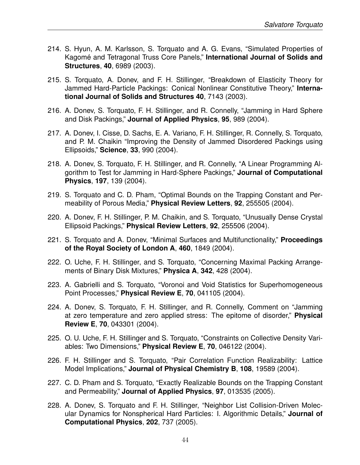- 214. S. Hyun, A. M. Karlsson, S. Torquato and A. G. Evans, "Simulated Properties of Kagomé and Tetragonal Truss Core Panels," International Journal of Solids and **Structures**, **40**, 6989 (2003).
- 215. S. Torquato, A. Donev, and F. H. Stillinger, "Breakdown of Elasticity Theory for Jammed Hard-Particle Packings: Conical Nonlinear Constitutive Theory," **International Journal of Solids and Structures 40**, 7143 (2003).
- 216. A. Donev, S. Torquato, F. H. Stillinger, and R. Connelly, "Jamming in Hard Sphere and Disk Packings," **Journal of Applied Physics**, **95**, 989 (2004).
- 217. A. Donev, I. Cisse, D. Sachs, E. A. Variano, F. H. Stillinger, R. Connelly, S. Torquato, and P. M. Chaikin "Improving the Density of Jammed Disordered Packings using Ellipsoids," **Science**, **33**, 990 (2004).
- 218. A. Donev, S. Torquato, F. H. Stillinger, and R. Connelly, "A Linear Programming Algorithm to Test for Jamming in Hard-Sphere Packings," **Journal of Computational Physics**, **197**, 139 (2004).
- 219. S. Torquato and C. D. Pham, "Optimal Bounds on the Trapping Constant and Permeability of Porous Media," **Physical Review Letters**, **92**, 255505 (2004).
- 220. A. Donev, F. H. Stillinger, P. M. Chaikin, and S. Torquato, "Unusually Dense Crystal Ellipsoid Packings," **Physical Review Letters**, **92**, 255506 (2004).
- 221. S. Torquato and A. Donev, "Minimal Surfaces and Multifunctionality," **Proceedings of the Royal Society of London A**, **460**, 1849 (2004).
- 222. O. Uche, F. H. Stillinger, and S. Torquato, "Concerning Maximal Packing Arrangements of Binary Disk Mixtures," **Physica A**, **342**, 428 (2004).
- 223. A. Gabrielli and S. Torquato, "Voronoi and Void Statistics for Superhomogeneous Point Processes," **Physical Review E**, **70**, 041105 (2004).
- 224. A. Donev, S. Torquato, F. H. Stillinger, and R. Connelly, Comment on "Jamming at zero temperature and zero applied stress: The epitome of disorder," **Physical Review E**, **70**, 043301 (2004).
- 225. O. U. Uche, F. H. Stillinger and S. Torquato, "Constraints on Collective Density Variables: Two Dimensions," **Physical Review E**, **70**, 046122 (2004).
- 226. F. H. Stillinger and S. Torquato, "Pair Correlation Function Realizability: Lattice Model Implications," **Journal of Physical Chemistry B**, **108**, 19589 (2004).
- 227. C. D. Pham and S. Torquato, "Exactly Realizable Bounds on the Trapping Constant and Permeability," **Journal of Applied Physics**, **97**, 013535 (2005).
- 228. A. Donev, S. Torquato and F. H. Stillinger, "Neighbor List Collision-Driven Molecular Dynamics for Nonspherical Hard Particles: I. Algorithmic Details," **Journal of Computational Physics**, **202**, 737 (2005).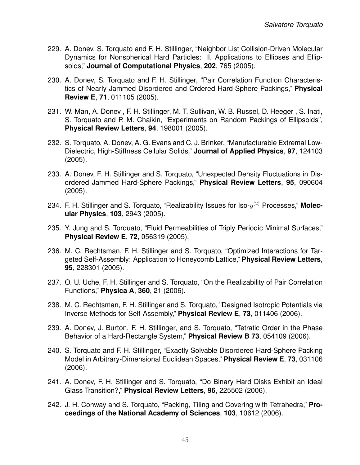- 229. A. Donev, S. Torquato and F. H. Stillinger, "Neighbor List Collision-Driven Molecular Dynamics for Nonspherical Hard Particles: II. Applications to Ellipses and Ellipsoids," **Journal of Computational Physics**, **202**, 765 (2005).
- 230. A. Donev, S. Torquato and F. H. Stillinger, "Pair Correlation Function Characteristics of Nearly Jammed Disordered and Ordered Hard-Sphere Packings," **Physical Review E**, **71**, 011105 (2005).
- 231. W. Man, A. Donev , F. H. Stillinger, M. T. Sullivan, W. B. Russel, D. Heeger , S. Inati, S. Torquato and P. M. Chaikin, "Experiments on Random Packings of Ellipsoids", **Physical Review Letters**, **94**, 198001 (2005).
- 232. S. Torquato, A. Donev, A. G. Evans and C. J. Brinker, "Manufacturable Extremal Low-Dielectric, High-Stiffness Cellular Solids," **Journal of Applied Physics**, **97**, 124103 (2005).
- 233. A. Donev, F. H. Stillinger and S. Torquato, "Unexpected Density Fluctuations in Disordered Jammed Hard-Sphere Packings," **Physical Review Letters**, **95**, 090604 (2005).
- 234. F. H. Stillinger and S. Torquato, "Realizability Issues for Iso- $g^{(2)}$  Processes," Molec**ular Physics**, **103**, 2943 (2005).
- 235. Y. Jung and S. Torquato, "Fluid Permeabilities of Triply Periodic Minimal Surfaces," **Physical Review E**, **72**, 056319 (2005).
- 236. M. C. Rechtsman, F. H. Stillinger and S. Torquato, "Optimized Interactions for Targeted Self-Assembly: Application to Honeycomb Lattice," **Physical Review Letters**, **95**, 228301 (2005).
- 237. O. U. Uche, F. H. Stillinger and S. Torquato, "On the Realizability of Pair Correlation Functions," **Physica A**, **360**, 21 (2006).
- 238. M. C. Rechtsman, F. H. Stillinger and S. Torquato, "Designed Isotropic Potentials via Inverse Methods for Self-Assembly," **Physical Review E**, **73**, 011406 (2006).
- 239. A. Donev, J. Burton, F. H. Stillinger, and S. Torquato, "Tetratic Order in the Phase Behavior of a Hard-Rectangle System," **Physical Review B 73**, 054109 (2006).
- 240. S. Torquato and F. H. Stillinger, "Exactly Solvable Disordered Hard-Sphere Packing Model in Arbitrary-Dimensional Euclidean Spaces," **Physical Review E**, **73**, 031106 (2006).
- 241. A. Donev, F. H. Stillinger and S. Torquato, "Do Binary Hard Disks Exhibit an Ideal Glass Transition?," **Physical Review Letters**, **96**, 225502 (2006).
- 242. J. H. Conway and S. Torquato, "Packing, Tiling and Covering with Tetrahedra," **Proceedings of the National Academy of Sciences**, **103**, 10612 (2006).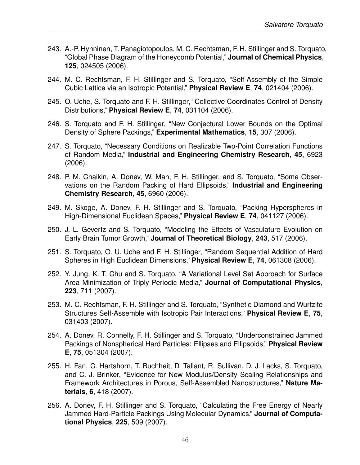- 243. A.-P. Hynninen, T. Panagiotopoulos, M. C. Rechtsman, F. H. Stillinger and S. Torquato, "Global Phase Diagram of the Honeycomb Potential," **Journal of Chemical Physics**, **125**, 024505 (2006).
- 244. M. C. Rechtsman, F. H. Stillinger and S. Torquato, "Self-Assembly of the Simple Cubic Lattice via an Isotropic Potential," **Physical Review E**, **74**, 021404 (2006).
- 245. O. Uche, S. Torquato and F. H. Stillinger, "Collective Coordinates Control of Density Distributions," **Physical Review E**, **74**, 031104 (2006).
- 246. S. Torquato and F. H. Stillinger, "New Conjectural Lower Bounds on the Optimal Density of Sphere Packings," **Experimental Mathematics**, **15**, 307 (2006).
- 247. S. Torquato, "Necessary Conditions on Realizable Two-Point Correlation Functions of Random Media," **Industrial and Engineering Chemistry Research**, **45**, 6923 (2006).
- 248. P. M. Chaikin, A. Donev, W. Man, F. H. Stillinger, and S. Torquato, "Some Observations on the Random Packing of Hard Ellipsoids," **Industrial and Engineering Chemistry Research**, **45**, 6960 (2006).
- 249. M. Skoge, A. Donev, F. H. Stillinger and S. Torquato, "Packing Hyperspheres in High-Dimensional Euclidean Spaces," **Physical Review E**, **74**, 041127 (2006).
- 250. J. L. Gevertz and S. Torquato, "Modeling the Effects of Vasculature Evolution on Early Brain Tumor Growth," **Journal of Theoretical Biology**, **243**, 517 (2006).
- 251. S. Torquato, O. U. Uche and F. H. Stillinger, "Random Sequential Addition of Hard Spheres in High Euclidean Dimensions," **Physical Review E**, **74**, 061308 (2006).
- 252. Y. Jung, K. T. Chu and S. Torquato, "A Variational Level Set Approach for Surface Area Minimization of Triply Periodic Media," **Journal of Computational Physics**, **223**, 711 (2007).
- 253. M. C. Rechtsman, F. H. Stillinger and S. Torquato, "Synthetic Diamond and Wurtzite Structures Self-Assemble with Isotropic Pair Interactions," **Physical Review E**, **75**, 031403 (2007).
- 254. A. Donev, R. Connelly, F. H. Stillinger and S. Torquato, "Underconstrained Jammed Packings of Nonspherical Hard Particles: Ellipses and Ellipsoids," **Physical Review E**, **75**, 051304 (2007).
- 255. H. Fan, C. Hartshorn, T. Buchheit, D. Tallant, R. Sullivan, D. J. Lacks, S. Torquato, and C. J. Brinker, "Evidence for New Modulus/Density Scaling Relationships and Framework Architectures in Porous, Self-Assembled Nanostructures," **Nature Materials**, **6**, 418 (2007).
- 256. A. Donev, F. H. Stillinger and S. Torquato, "Calculating the Free Energy of Nearly Jammed Hard-Particle Packings Using Molecular Dynamics," **Journal of Computational Physics**, **225**, 509 (2007).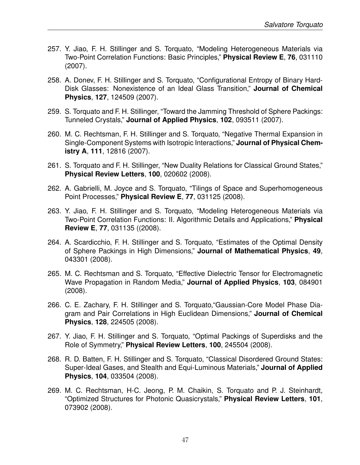- 257. Y. Jiao, F. H. Stillinger and S. Torquato, "Modeling Heterogeneous Materials via Two-Point Correlation Functions: Basic Principles," **Physical Review E**, **76**, 031110 (2007).
- 258. A. Donev, F. H. Stillinger and S. Torquato, "Configurational Entropy of Binary Hard-Disk Glasses: Nonexistence of an Ideal Glass Transition," **Journal of Chemical Physics**, **127**, 124509 (2007).
- 259. S. Torquato and F. H. Stillinger, "Toward the Jamming Threshold of Sphere Packings: Tunneled Crystals," **Journal of Applied Physics**, **102**, 093511 (2007).
- 260. M. C. Rechtsman, F. H. Stillinger and S. Torquato, "Negative Thermal Expansion in Single-Component Systems with Isotropic Interactions," **Journal of Physical Chemistry A**, **111**, 12816 (2007).
- 261. S. Torquato and F. H. Stillinger, "New Duality Relations for Classical Ground States," **Physical Review Letters**, **100**, 020602 (2008).
- 262. A. Gabrielli, M. Joyce and S. Torquato, "Tilings of Space and Superhomogeneous Point Processes," **Physical Review E**, **77**, 031125 (2008).
- 263. Y. Jiao, F. H. Stillinger and S. Torquato, "Modeling Heterogeneous Materials via Two-Point Correlation Functions: II. Algorithmic Details and Applications," **Physical Review E**, **77**, 031135 ((2008).
- 264. A. Scardicchio, F. H. Stillinger and S. Torquato, "Estimates of the Optimal Density of Sphere Packings in High Dimensions," **Journal of Mathematical Physics**, **49**, 043301 (2008).
- 265. M. C. Rechtsman and S. Torquato, "Effective Dielectric Tensor for Electromagnetic Wave Propagation in Random Media," **Journal of Applied Physics**, **103**, 084901 (2008).
- 266. C. E. Zachary, F. H. Stillinger and S. Torquato,"Gaussian-Core Model Phase Diagram and Pair Correlations in High Euclidean Dimensions," **Journal of Chemical Physics**, **128**, 224505 (2008).
- 267. Y. Jiao, F. H. Stillinger and S. Torquato, "Optimal Packings of Superdisks and the Role of Symmetry," **Physical Review Letters**, **100**, 245504 (2008).
- 268. R. D. Batten, F. H. Stillinger and S. Torquato, "Classical Disordered Ground States: Super-Ideal Gases, and Stealth and Equi-Luminous Materials," **Journal of Applied Physics**, **104**, 033504 (2008).
- 269. M. C. Rechtsman, H-C. Jeong, P. M. Chaikin, S. Torquato and P. J. Steinhardt, "Optimized Structures for Photonic Quasicrystals," **Physical Review Letters**, **101**, 073902 (2008).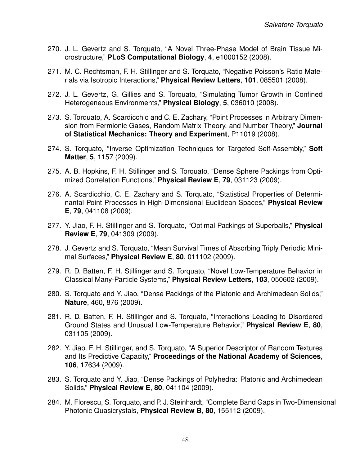- 270. J. L. Gevertz and S. Torquato, "A Novel Three-Phase Model of Brain Tissue Microstructure," **PLoS Computational Biology**, **4**, e1000152 (2008).
- 271. M. C. Rechtsman, F. H. Stillinger and S. Torquato, "Negative Poisson's Ratio Materials via Isotropic Interactions," **Physical Review Letters**, **101**, 085501 (2008).
- 272. J. L. Gevertz, G. Gillies and S. Torquato, "Simulating Tumor Growth in Confined Heterogeneous Environments," **Physical Biology**, **5**, 036010 (2008).
- 273. S. Torquato, A. Scardicchio and C. E. Zachary, "Point Processes in Arbitrary Dimension from Fermionic Gases, Random Matrix Theory, and Number Theory," **Journal of Statistical Mechanics: Theory and Experiment**, P11019 (2008).
- 274. S. Torquato, "Inverse Optimization Techniques for Targeted Self-Assembly," **Soft Matter**, **5**, 1157 (2009).
- 275. A. B. Hopkins, F. H. Stillinger and S. Torquato, "Dense Sphere Packings from Optimized Correlation Functions," **Physical Review E**, **79**, 031123 (2009).
- 276. A. Scardicchio, C. E. Zachary and S. Torquato, "Statistical Properties of Determinantal Point Processes in High-Dimensional Euclidean Spaces," **Physical Review E**, **79**, 041108 (2009).
- 277. Y. Jiao, F. H. Stillinger and S. Torquato, "Optimal Packings of Superballs," **Physical Review E**, **79**, 041309 (2009).
- 278. J. Gevertz and S. Torquato, "Mean Survival Times of Absorbing Triply Periodic Minimal Surfaces," **Physical Review E**, **80**, 011102 (2009).
- 279. R. D. Batten, F. H. Stillinger and S. Torquato, "Novel Low-Temperature Behavior in Classical Many-Particle Systems," **Physical Review Letters**, **103**, 050602 (2009).
- 280. S. Torquato and Y. Jiao, "Dense Packings of the Platonic and Archimedean Solids," **Nature**, 460, 876 (2009).
- 281. R. D. Batten, F. H. Stillinger and S. Torquato, "Interactions Leading to Disordered Ground States and Unusual Low-Temperature Behavior," **Physical Review E**, **80**, 031105 (2009).
- 282. Y. Jiao, F. H. Stillinger, and S. Torquato, "A Superior Descriptor of Random Textures and Its Predictive Capacity," **Proceedings of the National Academy of Sciences**, **106**, 17634 (2009).
- 283. S. Torquato and Y. Jiao, "Dense Packings of Polyhedra: Platonic and Archimedean Solids," **Physical Review E**, **80**, 041104 (2009).
- 284. M. Florescu, S. Torquato, and P. J. Steinhardt, "Complete Band Gaps in Two-Dimensional Photonic Quasicrystals, **Physical Review B**, **80**, 155112 (2009).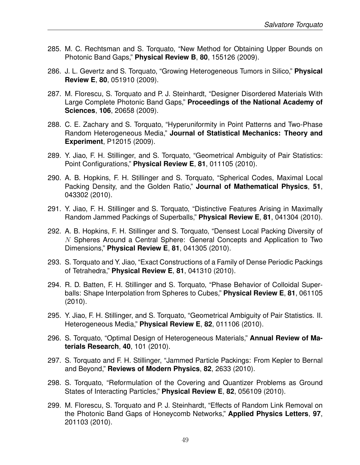- 285. M. C. Rechtsman and S. Torquato, "New Method for Obtaining Upper Bounds on Photonic Band Gaps," **Physical Review B**, **80**, 155126 (2009).
- 286. J. L. Gevertz and S. Torquato, "Growing Heterogeneous Tumors in Silico," **Physical Review E**, **80**, 051910 (2009).
- 287. M. Florescu, S. Torquato and P. J. Steinhardt, "Designer Disordered Materials With Large Complete Photonic Band Gaps," **Proceedings of the National Academy of Sciences**, **106**, 20658 (2009).
- 288. C. E. Zachary and S. Torquato, "Hyperuniformity in Point Patterns and Two-Phase Random Heterogeneous Media," **Journal of Statistical Mechanics: Theory and Experiment**, P12015 (2009).
- 289. Y. Jiao, F. H. Stillinger, and S. Torquato, "Geometrical Ambiguity of Pair Statistics: Point Configurations," **Physical Review E**, **81**, 011105 (2010).
- 290. A. B. Hopkins, F. H. Stillinger and S. Torquato, "Spherical Codes, Maximal Local Packing Density, and the Golden Ratio," **Journal of Mathematical Physics**, **51**, 043302 (2010).
- 291. Y. Jiao, F. H. Stillinger and S. Torquato, "Distinctive Features Arising in Maximally Random Jammed Packings of Superballs," **Physical Review E**, **81**, 041304 (2010).
- 292. A. B. Hopkins, F. H. Stillinger and S. Torquato, "Densest Local Packing Diversity of  $N$  Spheres Around a Central Sphere: General Concepts and Application to Two Dimensions," **Physical Review E**, **81**, 041305 (2010).
- 293. S. Torquato and Y. Jiao, "Exact Constructions of a Family of Dense Periodic Packings of Tetrahedra," **Physical Review E**, **81**, 041310 (2010).
- 294. R. D. Batten, F. H. Stillinger and S. Torquato, "Phase Behavior of Colloidal Superballs: Shape Interpolation from Spheres to Cubes," **Physical Review E**, **81**, 061105 (2010).
- 295. Y. Jiao, F. H. Stillinger, and S. Torquato, "Geometrical Ambiguity of Pair Statistics. II. Heterogeneous Media," **Physical Review E**, **82**, 011106 (2010).
- 296. S. Torquato, "Optimal Design of Heterogeneous Materials," **Annual Review of Materials Research**, **40**, 101 (2010).
- 297. S. Torquato and F. H. Stillinger, "Jammed Particle Packings: From Kepler to Bernal and Beyond," **Reviews of Modern Physics**, **82**, 2633 (2010).
- 298. S. Torquato, "Reformulation of the Covering and Quantizer Problems as Ground States of Interacting Particles," **Physical Review E**, **82**, 056109 (2010).
- 299. M. Florescu, S. Torquato and P. J. Steinhardt, "Effects of Random Link Removal on the Photonic Band Gaps of Honeycomb Networks," **Applied Physics Letters**, **97**, 201103 (2010).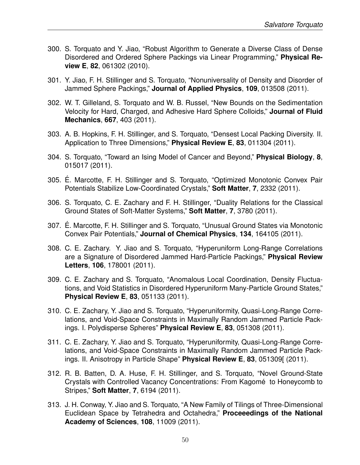- 300. S. Torquato and Y. Jiao, "Robust Algorithm to Generate a Diverse Class of Dense Disordered and Ordered Sphere Packings via Linear Programming," **Physical Review E**, **82**, 061302 (2010).
- 301. Y. Jiao, F. H. Stillinger and S. Torquato, "Nonuniversality of Density and Disorder of Jammed Sphere Packings," **Journal of Applied Physics**, **109**, 013508 (2011).
- 302. W. T. Gilleland, S. Torquato and W. B. Russel, "New Bounds on the Sedimentation Velocity for Hard, Charged, and Adhesive Hard Sphere Colloids," **Journal of Fluid Mechanics**, **667**, 403 (2011).
- 303. A. B. Hopkins, F. H. Stillinger, and S. Torquato, "Densest Local Packing Diversity. II. Application to Three Dimensions," **Physical Review E**, **83**, 011304 (2011).
- 304. S. Torquato, "Toward an Ising Model of Cancer and Beyond," **Physical Biology**, **8**, 015017 (2011).
- 305. E. Marcotte, F. H. Stillinger and S. Torquato, "Optimized Monotonic Convex Pair ´ Potentials Stabilize Low-Coordinated Crystals," **Soft Matter**, **7**, 2332 (2011).
- 306. S. Torquato, C. E. Zachary and F. H. Stillinger, "Duality Relations for the Classical Ground States of Soft-Matter Systems," **Soft Matter**, **7**, 3780 (2011).
- 307. E. Marcotte, F. H. Stillinger and S. Torquato, "Unusual Ground States via Monotonic ´ Convex Pair Potentials," **Journal of Chemical Physics**, **134**, 164105 (2011).
- 308. C. E. Zachary. Y. Jiao and S. Torquato, "Hyperuniform Long-Range Correlations are a Signature of Disordered Jammed Hard-Particle Packings," **Physical Review Letters**, **106**, 178001 (2011).
- 309. C. E. Zachary and S. Torquato, "Anomalous Local Coordination, Density Fluctuations, and Void Statistics in Disordered Hyperuniform Many-Particle Ground States," **Physical Review E**, **83**, 051133 (2011).
- 310. C. E. Zachary, Y. Jiao and S. Torquato, "Hyperuniformity, Quasi-Long-Range Correlations, and Void-Space Constraints in Maximally Random Jammed Particle Packings. I. Polydisperse Spheres" **Physical Review E**, **83**, 051308 (2011).
- 311. C. E. Zachary, Y. Jiao and S. Torquato, "Hyperuniformity, Quasi-Long-Range Correlations, and Void-Space Constraints in Maximally Random Jammed Particle Packings. II. Anisotropy in Particle Shape" **Physical Review E**, **83**, 051309[ (2011).
- 312. R. B. Batten, D. A. Huse, F. H. Stillinger, and S. Torquato, "Novel Ground-State Crystals with Controlled Vacancy Concentrations: From Kagomé to Honeycomb to Stripes," **Soft Matter**, **7**, 6194 (2011).
- 313. J. H. Conway, Y. Jiao and S. Torquato, "A New Family of Tilings of Three-Dimensional Euclidean Space by Tetrahedra and Octahedra," **Proceeedings of the National Academy of Sciences**, **108**, 11009 (2011).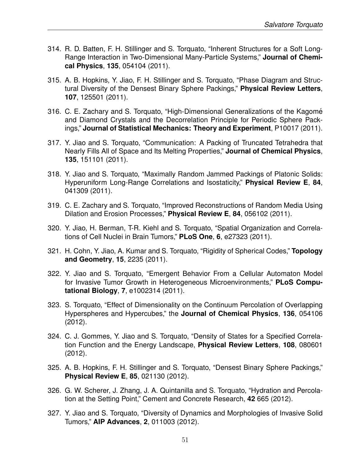- 314. R. D. Batten, F. H. Stillinger and S. Torquato, "Inherent Structures for a Soft Long-Range Interaction in Two-Dimensional Many-Particle Systems," **Journal of Chemical Physics**, **135**, 054104 (2011).
- 315. A. B. Hopkins, Y. Jiao, F. H. Stillinger and S. Torquato, "Phase Diagram and Structural Diversity of the Densest Binary Sphere Packings," **Physical Review Letters**, **107**, 125501 (2011).
- 316. C. E. Zachary and S. Torquato, "High-Dimensional Generalizations of the Kagomé and Diamond Crystals and the Decorrelation Principle for Periodic Sphere Packings," **Journal of Statistical Mechanics: Theory and Experiment**, P10017 (2011).
- 317. Y. Jiao and S. Torquato, "Communication: A Packing of Truncated Tetrahedra that Nearly Fills All of Space and Its Melting Properties," **Journal of Chemical Physics**, **135**, 151101 (2011).
- 318. Y. Jiao and S. Torquato, "Maximally Random Jammed Packings of Platonic Solids: Hyperuniform Long-Range Correlations and Isostaticity," **Physical Review E**, **84**, 041309 (2011).
- 319. C. E. Zachary and S. Torquato, "Improved Reconstructions of Random Media Using Dilation and Erosion Processes," **Physical Review E**, **84**, 056102 (2011).
- 320. Y. Jiao, H. Berman, T-R. Kiehl and S. Torquato, "Spatial Organization and Correlations of Cell Nuclei in Brain Tumors," **PLoS One**, **6**, e27323 (2011).
- 321. H. Cohn, Y. Jiao, A. Kumar and S. Torquato, "Rigidity of Spherical Codes," **Topology and Geometry**, **15**, 2235 (2011).
- 322. Y. Jiao and S. Torquato, "Emergent Behavior From a Cellular Automaton Model for Invasive Tumor Growth in Heterogeneous Microenvironments," **PLoS Computational Biology**, **7**, e1002314 (2011).
- 323. S. Torquato, "Effect of Dimensionality on the Continuum Percolation of Overlapping Hyperspheres and Hypercubes," the **Journal of Chemical Physics**, **136**, 054106 (2012).
- 324. C. J. Gommes, Y. Jiao and S. Torquato, "Density of States for a Specified Correlation Function and the Energy Landscape, **Physical Review Letters**, **108**, 080601 (2012).
- 325. A. B. Hopkins, F. H. Stillinger and S. Torquato, "Densest Binary Sphere Packings," **Physical Review E**, **85**, 021130 (2012).
- 326. G. W. Scherer, J. Zhang, J. A. Quintanilla and S. Torquato, "Hydration and Percolation at the Setting Point," Cement and Concrete Research, **42** 665 (2012).
- 327. Y. Jiao and S. Torquato, "Diversity of Dynamics and Morphologies of Invasive Solid Tumors," **AIP Advances**, **2**, 011003 (2012).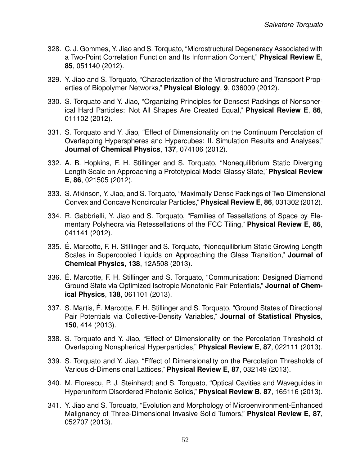- 328. C. J. Gommes, Y. Jiao and S. Torquato, "Microstructural Degeneracy Associated with a Two-Point Correlation Function and Its Information Content," **Physical Review E**, **85**, 051140 (2012).
- 329. Y. Jiao and S. Torquato, "Characterization of the Microstructure and Transport Properties of Biopolymer Networks," **Physical Biology**, **9**, 036009 (2012).
- 330. S. Torquato and Y. Jiao, "Organizing Principles for Densest Packings of Nonspherical Hard Particles: Not All Shapes Are Created Equal," **Physical Review E**, **86**, 011102 (2012).
- 331. S. Torquato and Y. Jiao, "Effect of Dimensionality on the Continuum Percolation of Overlapping Hyperspheres and Hypercubes: II. Simulation Results and Analyses," **Journal of Chemical Physics**, **137**, 074106 (2012).
- 332. A. B. Hopkins, F. H. Stillinger and S. Torquato, "Nonequilibrium Static Diverging Length Scale on Approaching a Prototypical Model Glassy State," **Physical Review E**, **86**, 021505 (2012).
- 333. S. Atkinson, Y. Jiao, and S. Torquato, "Maximally Dense Packings of Two-Dimensional Convex and Concave Noncircular Particles," **Physical Review E**, **86**, 031302 (2012).
- 334. R. Gabbrielli, Y. Jiao and S. Torquato, "Families of Tessellations of Space by Elementary Polyhedra via Retessellations of the FCC Tiling," **Physical Review E**, **86**, 041141 (2012).
- 335. E. Marcotte, F. H. Stillinger and S. Torquato, "Nonequilibrium Static Growing Length ´ Scales in Supercooled Liquids on Approaching the Glass Transition," **Journal of Chemical Physics**, **138**, 12A508 (2013).
- 336. E. Marcotte, F. H. Stillinger and S. Torquato, "Communication: Designed Diamond ´ Ground State via Optimized Isotropic Monotonic Pair Potentials," **Journal of Chemical Physics**, **138**, 061101 (2013).
- 337. S. Martis, E. Marcotte, F. H. Stillinger and S. Torquato, "Ground States of Directional ´ Pair Potentials via Collective-Density Variables," **Journal of Statistical Physics**, **150**, 414 (2013).
- 338. S. Torquato and Y. Jiao, "Effect of Dimensionality on the Percolation Threshold of Overlapping Nonspherical Hyperparticles," **Physical Review E**, **87**, 022111 (2013).
- 339. S. Torquato and Y. Jiao, "Effect of Dimensionality on the Percolation Thresholds of Various d-Dimensional Lattices," **Physical Review E**, **87**, 032149 (2013).
- 340. M. Florescu, P. J. Steinhardt and S. Torquato, "Optical Cavities and Waveguides in Hyperuniform Disordered Photonic Solids," **Physical Review B**, **87**, 165116 (2013).
- 341. Y. Jiao and S. Torquato, "Evolution and Morphology of Microenvironment-Enhanced Malignancy of Three-Dimensional Invasive Solid Tumors," **Physical Review E**, **87**, 052707 (2013).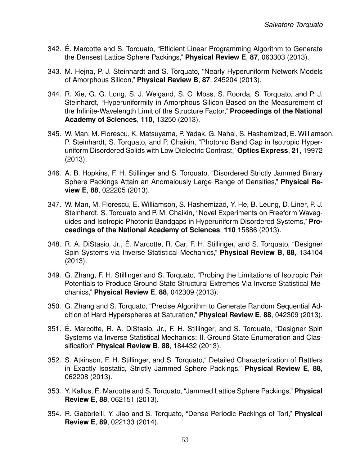- 342. E. Marcotte and S. Torquato, "Efficient Linear Programming Algorithm to Generate ´ the Densest Lattice Sphere Packings," **Physical Review E**, **87**, 063303 (2013).
- 343. M. Hejna, P. J. Steinhardt and S. Torquato, "Nearly Hyperuniform Network Models of Amorphous Silicon," **Physical Review B**, **87**, 245204 (2013).
- 344. R. Xie, G. G. Long, S. J. Weigand, S. C. Moss, S. Roorda, S. Torquato, and P. J. Steinhardt, "Hyperuniformity in Amorphous Silicon Based on the Measurement of the Infinite-Wavelength Limit of the Structure Factor," **Proceedings of the National Academy of Sciences**, **110**, 13250 (2013).
- 345. W. Man, M. Florescu, K. Matsuyama, P. Yadak, G. Nahal, S. Hashemizad, E. Williamson, P. Steinhardt, S. Torquato, and P. Chaikin, "Photonic Band Gap in Isotropic Hyperuniform Disordered Solids with Low Dielectric Contrast," **Optics Express**, **21**, 19972 (2013).
- 346. A. B. Hopkins, F. H. Stillinger and S. Torquato, "Disordered Strictly Jammed Binary Sphere Packings Attain an Anomalously Large Range of Densities," **Physical Review E**, **88**, 022205 (2013).
- 347. W. Man, M. Florescu, E. Williamson, S. Hashemizad, Y. He, B. Leung, D. Liner, P. J. Steinhardt, S. Torquato and P. M. Chaikin, "Novel Experiments on Freeform Waveguides and Isotropic Photonic Bandgaps in Hyperuniform Disordered Systems," **Proceedings of the National Academy of Sciences**, **110** 15886 (2013).
- 348. R. A. DiStasio, Jr., E. Marcotte, R. Car, F. H. Stillinger, and S. Torquato, "Designer ´ Spin Systems via Inverse Statistical Mechanics," **Physical Review B**, **88**, 134104 (2013).
- 349. G. Zhang, F. H. Stillinger and S. Torquato, "Probing the Limitations of Isotropic Pair Potentials to Produce Ground-State Structural Extremes Via Inverse Statistical Mechanics," **Physical Review E**, **88**, 042309 (2013).
- 350. G. Zhang and S. Torquato, "Precise Algorithm to Generate Random Sequential Addition of Hard Hyperspheres at Saturation," **Physical Review E**, **88**, 042309 (2013).
- 351. E. Marcotte, R. A. DiStasio, Jr., F. H. Stillinger, and S. Torquato, "Designer Spin ´ Systems via Inverse Statistical Mechanics: II. Ground State Enumeration and Classification" **Physical Review B**, **88**, 184432 (2013).
- 352. S. Atkinson, F. H. Stillinger, and S. Torquato," Detailed Characterization of Rattlers in Exactly Isostatic, Strictly Jammed Sphere Packings," **Physical Review E**, **88**, 062208 (2013).
- 353. Y. Kallus, E. Marcotte and S. Torquato, "Jammed Lattice Sphere Packings," ´ **Physical Review E**, **88**, 062151 (2013).
- 354. R. Gabbrielli, Y. Jiao and S. Torquato, "Dense Periodic Packings of Tori," **Physical Review E**, **89**, 022133 (2014).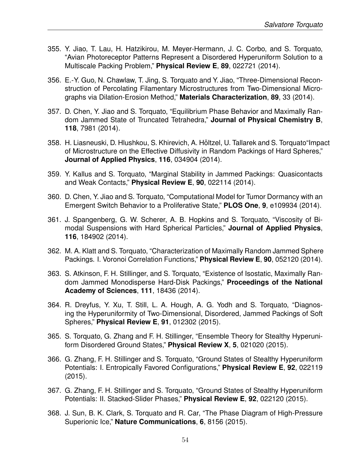- 355. Y. Jiao, T. Lau, H. Hatzikirou, M. Meyer-Hermann, J. C. Corbo, and S. Torquato, "Avian Photoreceptor Patterns Represent a Disordered Hyperuniform Solution to a Multiscale Packing Problem," **Physical Review E**, **89**, 022721 (2014).
- 356. E.-Y. Guo, N. Chawlaw, T. Jing, S. Torquato and Y. Jiao, "Three-Dimensional Reconstruction of Percolating Filamentary Microstructures from Two-Dimensional Micrographs via Dilation-Erosion Method," **Materials Characterization**, **89**, 33 (2014).
- 357. D. Chen, Y. Jiao and S. Torquato, "Equilibrium Phase Behavior and Maximally Random Jammed State of Truncated Tetrahedra," **Journal of Physical Chemistry B**, **118**, 7981 (2014).
- 358. H. Liasneuski, D. Hlushkou, S. Khirevich, A. Höltzel, U. Tallarek and S. Torquato"Impact of Microstructure on the Effective Diffusivity in Random Packings of Hard Spheres," **Journal of Applied Physics**, **116**, 034904 (2014).
- 359. Y. Kallus and S. Torquato, "Marginal Stability in Jammed Packings: Quasicontacts and Weak Contacts," **Physical Review E**, **90**, 022114 (2014).
- 360. D. Chen, Y. Jiao and S. Torquato, "Computational Model for Tumor Dormancy with an Emergent Switch Behavior to a Proliferative State," **PLOS One**, **9**, e109934 (2014).
- 361. J. Spangenberg, G. W. Scherer, A. B. Hopkins and S. Torquato, "Viscosity of Bimodal Suspensions with Hard Spherical Particles," **Journal of Applied Physics**, **116**, 184902 (2014).
- 362. M. A. Klatt and S. Torquato, "Characterization of Maximally Random Jammed Sphere Packings. I. Voronoi Correlation Functions," **Physical Review E**, **90**, 052120 (2014).
- 363. S. Atkinson, F. H. Stillinger, and S. Torquato, "Existence of Isostatic, Maximally Random Jammed Monodisperse Hard-Disk Packings," **Proceedings of the National Academy of Sciences**, **111**, 18436 (2014).
- 364. R. Dreyfus, Y. Xu, T. Still, L. A. Hough, A. G. Yodh and S. Torquato, "Diagnosing the Hyperuniformity of Two-Dimensional, Disordered, Jammed Packings of Soft Spheres," **Physical Review E**, **91**, 012302 (2015).
- 365. S. Torquato, G. Zhang and F. H. Stillinger, "Ensemble Theory for Stealthy Hyperuniform Disordered Ground States," **Physical Review X**, **5**, 021020 (2015).
- 366. G. Zhang, F. H. Stillinger and S. Torquato, "Ground States of Stealthy Hyperuniform Potentials: I. Entropically Favored Configurations," **Physical Review E**, **92**, 022119 (2015).
- 367. G. Zhang, F. H. Stillinger and S. Torquato, "Ground States of Stealthy Hyperuniform Potentials: II. Stacked-Slider Phases," **Physical Review E**, **92**, 022120 (2015).
- 368. J. Sun, B. K. Clark, S. Torquato and R. Car, "The Phase Diagram of High-Pressure Superionic Ice," **Nature Communications**, **6**, 8156 (2015).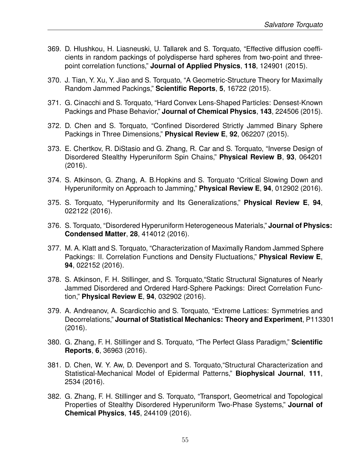- 369. D. Hlushkou, H. Liasneuski, U. Tallarek and S. Torquato, "Effective diffusion coefficients in random packings of polydisperse hard spheres from two-point and threepoint correlation functions," **Journal of Applied Physics**, **118**, 124901 (2015).
- 370. J. Tian, Y. Xu, Y. Jiao and S. Torquato, "A Geometric-Structure Theory for Maximally Random Jammed Packings," **Scientific Reports**, **5**, 16722 (2015).
- 371. G. Cinacchi and S. Torquato, "Hard Convex Lens-Shaped Particles: Densest-Known Packings and Phase Behavior," **Journal of Chemical Physics**, **143**, 224506 (2015).
- 372. D. Chen and S. Torquato, "Confined Disordered Strictly Jammed Binary Sphere Packings in Three Dimensions," **Physical Review E**, **92**, 062207 (2015).
- 373. E. Chertkov, R. DiStasio and G. Zhang, R. Car and S. Torquato, "Inverse Design of Disordered Stealthy Hyperuniform Spin Chains," **Physical Review B**, **93**, 064201 (2016).
- 374. S. Atkinson, G. Zhang, A. B.Hopkins and S. Torquato "Critical Slowing Down and Hyperuniformity on Approach to Jamming," **Physical Review E**, **94**, 012902 (2016).
- 375. S. Torquato, "Hyperuniformity and Its Generalizations," **Physical Review E**, **94**, 022122 (2016).
- 376. S. Torquato, "Disordered Hyperuniform Heterogeneous Materials," **Journal of Physics: Condensed Matter**, **28**, 414012 (2016).
- 377. M. A. Klatt and S. Torquato, "Characterization of Maximally Random Jammed Sphere Packings: II. Correlation Functions and Density Fluctuations," **Physical Review E**, **94**, 022152 (2016).
- 378. S. Atkinson, F. H. Stillinger, and S. Torquato,"Static Structural Signatures of Nearly Jammed Disordered and Ordered Hard-Sphere Packings: Direct Correlation Function," **Physical Review E**, **94**, 032902 (2016).
- 379. A. Andreanov, A. Scardicchio and S. Torquato, "Extreme Lattices: Symmetries and Decorrelations," **Journal of Statistical Mechanics: Theory and Experiment**, P113301 (2016).
- 380. G. Zhang, F. H. Stillinger and S. Torquato, "The Perfect Glass Paradigm," **Scientific Reports**, **6**, 36963 (2016).
- 381. D. Chen, W. Y. Aw, D. Devenport and S. Torquato,"Structural Characterization and Statistical-Mechanical Model of Epidermal Patterns," **Biophysical Journal**, **111**, 2534 (2016).
- 382. G. Zhang, F. H. Stillinger and S. Torquato, "Transport, Geometrical and Topological Properties of Stealthy Disordered Hyperuniform Two-Phase Systems," **Journal of Chemical Physics**, **145**, 244109 (2016).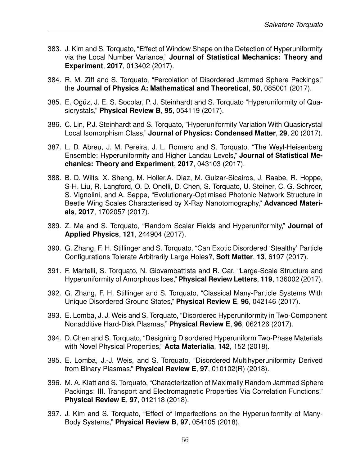- 383. J. Kim and S. Torquato, "Effect of Window Shape on the Detection of Hyperuniformity via the Local Number Variance," **Journal of Statistical Mechanics: Theory and Experiment**, **2017**, 013402 (2017).
- 384. R. M. Ziff and S. Torquato, "Percolation of Disordered Jammed Sphere Packings," the **Journal of Physics A: Mathematical and Theoretical**, **50**, 085001 (2017).
- 385. E. Ogüz, J. E. S. Socolar, P. J. Steinhardt and S. Torquato "Hyperuniformity of Quasicrystals," **Physical Review B**, **95**, 054119 (2017).
- 386. C. Lin, P.J. Steinhardt and S. Torquato, "Hyperuniformity Variation With Quasicrystal Local Isomorphism Class," **Journal of Physics: Condensed Matter**, **29**, 20 (2017).
- 387. L. D. Abreu, J. M. Pereira, J. L. Romero and S. Torquato, "The Weyl-Heisenberg Ensemble: Hyperuniformity and Higher Landau Levels," **Journal of Statistical Mechanics: Theory and Experiment**, **2017**, 043103 (2017).
- 388. B. D. Wilts, X. Sheng, M. Holler,A. Diaz, M. Guizar-Sicairos, J. Raabe, R. Hoppe, S-H. Liu, R. Langford, O. D. Onelli, D. Chen, S. Torquato, U. Steiner, C. G. Schroer, S. Vignolini, and A. Seppe, "Evolutionary-Optimised Photonic Network Structure in Beetle Wing Scales Characterised by X-Ray Nanotomography," **Advanced Materials**, **2017**, 1702057 (2017).
- 389. Z. Ma and S. Torquato, "Random Scalar Fields and Hyperuniformity," **Journal of Applied Physics**, **121**, 244904 (2017).
- 390. G. Zhang, F. H. Stillinger and S. Torquato, "Can Exotic Disordered 'Stealthy' Particle Configurations Tolerate Arbitrarily Large Holes?, **Soft Matter**, **13**, 6197 (2017).
- 391. F. Martelli, S. Torquato, N. Giovambattista and R. Car, "Large-Scale Structure and Hyperuniformity of Amorphous Ices," **Physical Review Letters**, **119**, 136002 (2017).
- 392. G. Zhang, F. H. Stillinger and S. Torquato, "Classical Many-Particle Systems With Unique Disordered Ground States," **Physical Review E**, **96**, 042146 (2017).
- 393. E. Lomba, J. J. Weis and S. Torquato, "Disordered Hyperuniformity in Two-Component Nonadditive Hard-Disk Plasmas," **Physical Review E**, **96**, 062126 (2017).
- 394. D. Chen and S. Torquato, "Designing Disordered Hyperuniform Two-Phase Materials with Novel Physical Properties," **Acta Materialia**, **142**, 152 (2018).
- 395. E. Lomba, J.-J. Weis, and S. Torquato, "Disordered Multihyperuniformity Derived from Binary Plasmas," **Physical Review E**, **97**, 010102(R) (2018).
- 396. M. A. Klatt and S. Torquato, "Characterization of Maximally Random Jammed Sphere Packings: III. Transport and Electromagnetic Properties Via Correlation Functions," **Physical Review E**, **97**, 012118 (2018).
- 397. J. Kim and S. Torquato, "Effect of Imperfections on the Hyperuniformity of Many-Body Systems," **Physical Review B**, **97**, 054105 (2018).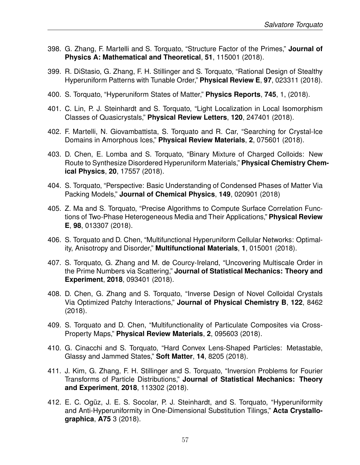- 398. G. Zhang, F. Martelli and S. Torquato, "Structure Factor of the Primes," **Journal of Physics A: Mathematical and Theoretical**, **51**, 115001 (2018).
- 399. R. DiStasio, G. Zhang, F. H. Stillinger and S. Torquato, "Rational Design of Stealthy Hyperuniform Patterns with Tunable Order," **Physical Review E**, **97**, 023311 (2018).
- 400. S. Torquato, "Hyperuniform States of Matter," **Physics Reports**, **745**, 1, (2018).
- 401. C. Lin, P. J. Steinhardt and S. Torquato, "Light Localization in Local Isomorphism Classes of Quasicrystals," **Physical Review Letters**, **120**, 247401 (2018).
- 402. F. Martelli, N. Giovambattista, S. Torquato and R. Car, "Searching for Crystal-Ice Domains in Amorphous Ices," **Physical Review Materials**, **2**, 075601 (2018).
- 403. D. Chen, E. Lomba and S. Torquato, "Binary Mixture of Charged Colloids: New Route to Synthesize Disordered Hyperuniform Materials," **Physical Chemistry Chemical Physics**, **20**, 17557 (2018).
- 404. S. Torquato, "Perspective: Basic Understanding of Condensed Phases of Matter Via Packing Models," **Journal of Chemical Physics**, **149**, 020901 (2018)
- 405. Z. Ma and S. Torquato, "Precise Algorithms to Compute Surface Correlation Functions of Two-Phase Heterogeneous Media and Their Applications," **Physical Review E**, **98**, 013307 (2018).
- 406. S. Torquato and D. Chen, "Multifunctional Hyperuniform Cellular Networks: Optimality, Anisotropy and Disorder," **Multifunctional Materials**, **1**, 015001 (2018).
- 407. S. Torquato, G. Zhang and M. de Courcy-Ireland, "Uncovering Multiscale Order in the Prime Numbers via Scattering," **Journal of Statistical Mechanics: Theory and Experiment**, **2018**, 093401 (2018).
- 408. D. Chen, G. Zhang and S. Torquato, "Inverse Design of Novel Colloidal Crystals Via Optimized Patchy Interactions," **Journal of Physical Chemistry B**, **122**, 8462 (2018).
- 409. S. Torquato and D. Chen, "Multifunctionality of Particulate Composites via Cross-Property Maps," **Physical Review Materials**, **2**, 095603 (2018).
- 410. G. Cinacchi and S. Torquato, "Hard Convex Lens-Shaped Particles: Metastable, Glassy and Jammed States," **Soft Matter**, **14**, 8205 (2018).
- 411. J. Kim, G. Zhang, F. H. Stillinger and S. Torquato, "Inversion Problems for Fourier Transforms of Particle Distributions," **Journal of Statistical Mechanics: Theory and Experiment**, **2018**, 113302 (2018).
- 412. E. C. Ogüz, J. E. S. Socolar, P. J. Steinhardt, and S. Torquato, "Hyperuniformity and Anti-Hyperuniformity in One-Dimensional Substitution Tilings," **Acta Crystallographica**, **A75** 3 (2018).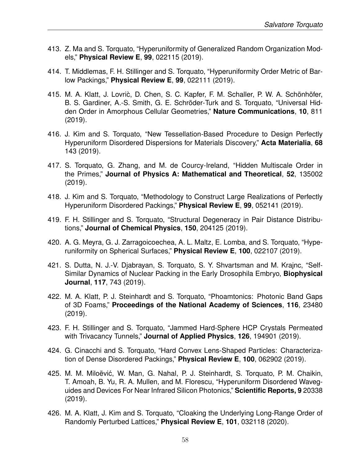- 413. Z. Ma and S. Torquato, "Hyperuniformity of Generalized Random Organization Models," **Physical Review E**, **99**, 022115 (2019).
- 414. T. Middlemas, F. H. Stillinger and S. Torquato, "Hyperuniformity Order Metric of Barlow Packings," **Physical Review E**, **99**, 022111 (2019).
- 415. M. A. Klatt, J. Lovric, D. Chen, S. C. Kapfer, F. M. Schaller, P. W. A. Schönhöfer, B. S. Gardiner, A.-S. Smith, G. E. Schröder-Turk and S. Torquato, "Universal Hidden Order in Amorphous Cellular Geometries," **Nature Communications**, **10**, 811 (2019).
- 416. J. Kim and S. Torquato, "New Tessellation-Based Procedure to Design Perfectly Hyperuniform Disordered Dispersions for Materials Discovery," **Acta Materialia**, **68** 143 (2019).
- 417. S. Torquato, G. Zhang, and M. de Courcy-Ireland, "Hidden Multiscale Order in the Primes," **Journal of Physics A: Mathematical and Theoretical**, **52**, 135002 (2019).
- 418. J. Kim and S. Torquato, "Methodology to Construct Large Realizations of Perfectly Hyperuniform Disordered Packings," **Physical Review E**, **99**, 052141 (2019).
- 419. F. H. Stillinger and S. Torquato, "Structural Degeneracy in Pair Distance Distributions," **Journal of Chemical Physics**, **150**, 204125 (2019).
- 420. A. G. Meyra, G. J. Zarragoicoechea, A. L. Maltz, E. Lomba, and S. Torquato, "Hyperuniformity on Spherical Surfaces," **Physical Review E**, **100**, 022107 (2019).
- 421. S. Dutta, N. J.-V. Djabrayan, S. Torquato, S. Y. Shvartsman and M. Krajnc, "Self-Similar Dynamics of Nuclear Packing in the Early Drosophila Embryo, **Biophysical Journal**, **117**, 743 (2019).
- 422. M. A. Klatt, P. J. Steinhardt and S. Torquato, "Phoamtonics: Photonic Band Gaps of 3D Foams," **Proceedings of the National Academy of Sciences**, **116**, 23480 (2019).
- 423. F. H. Stillinger and S. Torquato, "Jammed Hard-Sphere HCP Crystals Permeated with Trivacancy Tunnels," **Journal of Applied Physics**, **126**, 194901 (2019).
- 424. G. Cinacchi and S. Torquato, "Hard Convex Lens-Shaped Particles: Characterization of Dense Disordered Packings," **Physical Review E**, **100**, 062902 (2019).
- 425. M. M. Miloëvić, W. Man, G. Nahal, P. J. Steinhardt, S. Torquato, P. M. Chaikin, T. Amoah, B. Yu, R. A. Mullen, and M. Florescu, "Hyperuniform Disordered Waveguides and Devices For Near Infrared Silicon Photonics," **Scientific Reports, 9** 20338 (2019).
- 426. M. A. Klatt, J. Kim and S. Torquato, "Cloaking the Underlying Long-Range Order of Randomly Perturbed Lattices," **Physical Review E**, **101**, 032118 (2020).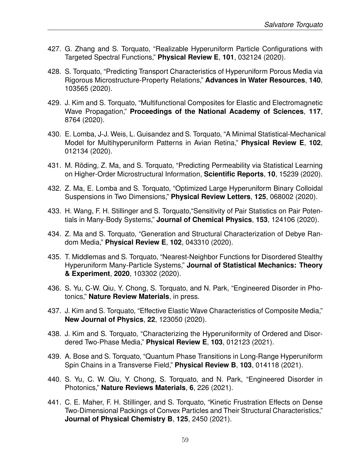- 427. G. Zhang and S. Torquato, "Realizable Hyperuniform Particle Configurations with Targeted Spectral Functions," **Physical Review E**, **101**, 032124 (2020).
- 428. S. Torquato, "Predicting Transport Characteristics of Hyperuniform Porous Media via Rigorous Microstructure-Property Relations," **Advances in Water Resources**, **140**, 103565 (2020).
- 429. J. Kim and S. Torquato, "Multifunctional Composites for Elastic and Electromagnetic Wave Propagation," **Proceedings of the National Academy of Sciences**, **117**, 8764 (2020).
- 430. E. Lomba, J-J. Weis, L. Guisandez and S. Torquato, "A Minimal Statistical-Mechanical Model for Multihyperuniform Patterns in Avian Retina," **Physical Review E**, **102**, 012134 (2020).
- 431. M. Röding, Z. Ma, and S. Torquato, "Predicting Permeability via Statistical Learning on Higher-Order Microstructural Information, **Scientific Reports**, **10**, 15239 (2020).
- 432. Z. Ma, E. Lomba and S. Torquato, "Optimized Large Hyperuniform Binary Colloidal Suspensions in Two Dimensions," **Physical Review Letters**, **125**, 068002 (2020).
- 433. H. Wang, F. H. Stillinger and S. Torquato,"Sensitivity of Pair Statistics on Pair Potentials in Many-Body Systems," **Journal of Chemical Physics**, **153**, 124106 (2020).
- 434. Z. Ma and S. Torquato, "Generation and Structural Characterization of Debye Random Media," **Physical Review E**, **102**, 043310 (2020).
- 435. T. Middlemas and S. Torquato, "Nearest-Neighbor Functions for Disordered Stealthy Hyperuniform Many-Particle Systems," **Journal of Statistical Mechanics: Theory & Experiment**, **2020**, 103302 (2020).
- 436. S. Yu, C-W. Qiu, Y. Chong, S. Torquato, and N. Park, "Engineered Disorder in Photonics," **Nature Review Materials**, in press.
- 437. J. Kim and S. Torquato, "Effective Elastic Wave Characteristics of Composite Media," **New Journal of Physics**, **22**, 123050 (2020).
- 438. J. Kim and S. Torquato, "Characterizing the Hyperuniformity of Ordered and Disordered Two-Phase Media," **Physical Review E**, **103**, 012123 (2021).
- 439. A. Bose and S. Torquato, "Quantum Phase Transitions in Long-Range Hyperuniform Spin Chains in a Transverse Field," **Physical Review B**, **103**, 014118 (2021).
- 440. S. Yu, C. W. Qiu, Y. Chong, S. Torquato, and N. Park, "Engineered Disorder in Photonics," **Nature Reviews Materials**, **6**, 226 (2021).
- 441. C. E. Maher, F. H. Stillinger, and S. Torquato, "Kinetic Frustration Effects on Dense Two-Dimensional Packings of Convex Particles and Their Structural Characteristics," **Journal of Physical Chemistry B**, **125**, 2450 (2021).